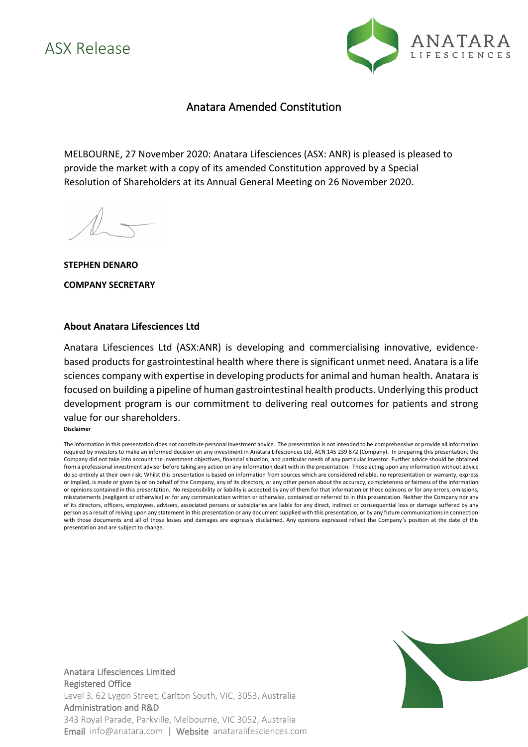## ASX Release



## Anatara Amended Constitution

MELBOURNE, 27 November 2020: Anatara Lifesciences (ASX: ANR) is pleased is pleased to provide the market with a copy of its amended Constitution approved by a Special Resolution of Shareholders at its Annual General Meeting on 26 November 2020.

**STEPHEN DENARO COMPANY SECRETARY**

## **About Anatara Lifesciences Ltd**

Anatara Lifesciences Ltd (ASX:ANR) is developing and commercialising innovative, evidencebased products for gastrointestinal health where there is significant unmet need. Anatara is a life sciences company with expertise in developing products for animal and human health. Anatara is focused on building a pipeline of human gastrointestinal health products. Underlying this product development program is our commitment to delivering real outcomes for patients and strong value for ourshareholders. **Disclaimer**

The information in this presentation does not constitute personal investment advice. The presentation is not intended to be comprehensive or provide all information required by investors to make an informed decision on any investment in Anatara Lifesciences Ltd, ACN 145 239 872 (Company). In preparing this presentation, the Company did not take into account the investment objectives, financial situation, and particular needs of any particular investor. Further advice should be obtained from a professional investment adviser before taking any action on any information dealt with in the presentation. Those acting upon any information without advice do so entirely at their own risk. Whilst this presentation is based on information from sources which are considered reliable, no representation or warranty, express or implied, is made or given by or on behalf of the Company, any of its directors, or any other person about the accuracy, completeness or fairness of the information or opinions contained in this presentation. No responsibility or liability is accepted by any of them for that information or those opinions or for any errors, omissions, misstatements (negligent or otherwise) or for any communication written or otherwise, contained or referred to in this presentation. Neither the Company nor any of its directors, officers, employees, advisers, associated persons or subsidiaries are liable for any direct, indirect or consequential loss or damage suffered by any person as a result of relying upon any statement in this presentation or any document supplied with this presentation, or by any future communications in connection with those documents and all of those losses and damages are expressly disclaimed. Any opinions expressed reflect the Company's position at the date of this presentation and are subject to change.



Anatara Lifesciences Limited Registered Office Level 3, 62 Lygon Street, Carlton South, VIC, 3053, Australia Administration and R&D 343 Royal Parade, Parkville, Melbourne, VIC 3052, Australia Email info@anatara.com | Website anataralifesciences.com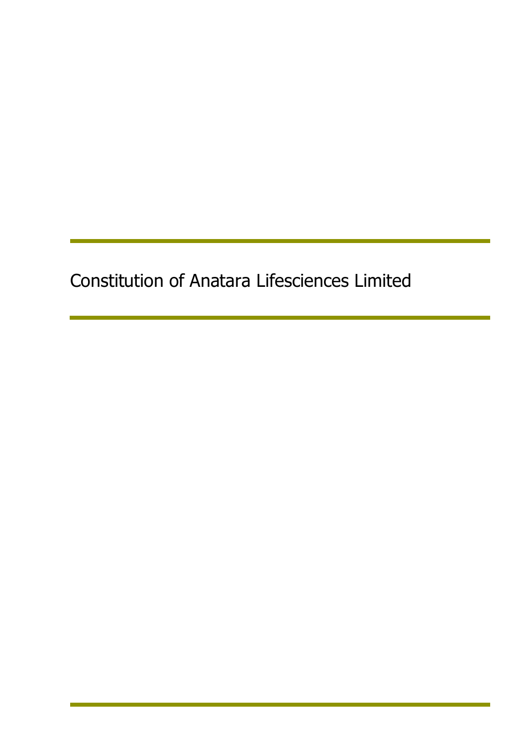Constitution of Anatara Lifesciences Limited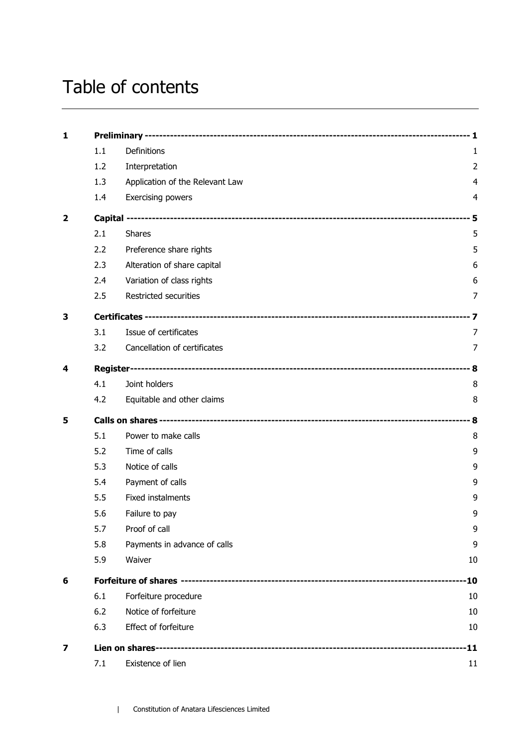# Table of contents

| 1                       |     |                                 |                |  |
|-------------------------|-----|---------------------------------|----------------|--|
|                         | 1.1 | Definitions                     | 1              |  |
|                         | 1.2 | Interpretation                  | $\overline{2}$ |  |
|                         | 1.3 | Application of the Relevant Law | 4              |  |
|                         | 1.4 | Exercising powers               | 4              |  |
| $\overline{\mathbf{2}}$ |     |                                 |                |  |
|                         | 2.1 | <b>Shares</b>                   | 5              |  |
|                         | 2.2 | Preference share rights         | 5              |  |
|                         | 2.3 | Alteration of share capital     | 6              |  |
|                         | 2.4 | Variation of class rights       | 6              |  |
|                         | 2.5 | Restricted securities           | 7              |  |
| 3                       |     |                                 |                |  |
|                         | 3.1 | Issue of certificates           | 7              |  |
|                         | 3.2 | Cancellation of certificates    | 7              |  |
| 4                       |     |                                 |                |  |
|                         | 4.1 | Joint holders                   | 8              |  |
|                         | 4.2 | Equitable and other claims      | 8              |  |
| 5                       |     |                                 |                |  |
|                         | 5.1 | Power to make calls             | 8              |  |
|                         | 5.2 | Time of calls                   | 9              |  |
|                         | 5.3 | Notice of calls                 | 9              |  |
|                         | 5.4 | Payment of calls                | 9              |  |
|                         | 5.5 | Fixed instalments               | 9              |  |
|                         | 5.6 | Failure to pay                  | 9              |  |
|                         | 5.7 | Proof of call                   | 9              |  |
|                         | 5.8 | Payments in advance of calls    | 9              |  |
|                         | 5.9 | Waiver                          | 10             |  |
| 6                       |     |                                 |                |  |
|                         | 6.1 | Forfeiture procedure            | 10             |  |
|                         | 6.2 | Notice of forfeiture            | 10             |  |
|                         | 6.3 | Effect of forfeiture            | 10             |  |
| 7                       |     | -11                             |                |  |
|                         | 7.1 | Existence of lien               | 11             |  |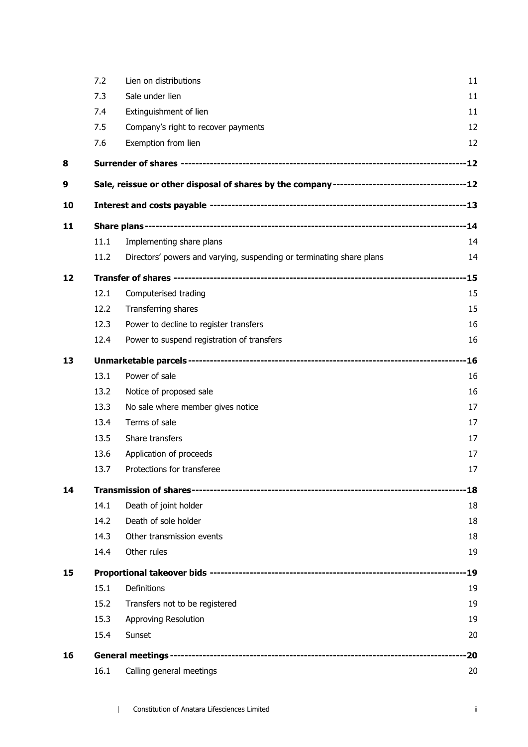|    | 7.2  | Lien on distributions                                                                         | 11    |
|----|------|-----------------------------------------------------------------------------------------------|-------|
|    | 7.3  | Sale under lien                                                                               | 11    |
|    | 7.4  | Extinguishment of lien                                                                        | 11    |
|    | 7.5  | Company's right to recover payments                                                           | 12    |
|    | 7.6  | Exemption from lien                                                                           | 12    |
| 8  |      |                                                                                               |       |
| 9  |      | Sale, reissue or other disposal of shares by the company-----------------------------------12 |       |
| 10 |      |                                                                                               |       |
| 11 |      |                                                                                               |       |
|    | 11.1 | Implementing share plans                                                                      | 14    |
|    | 11.2 | Directors' powers and varying, suspending or terminating share plans                          | 14    |
| 12 |      |                                                                                               |       |
|    | 12.1 | Computerised trading                                                                          | 15    |
|    | 12.2 | Transferring shares                                                                           | 15    |
|    | 12.3 | Power to decline to register transfers                                                        | 16    |
|    | 12.4 | Power to suspend registration of transfers                                                    | 16    |
| 13 |      |                                                                                               | $-16$ |
|    | 13.1 | Power of sale                                                                                 | 16    |
|    | 13.2 | Notice of proposed sale                                                                       | 16    |
|    | 13.3 | No sale where member gives notice                                                             | 17    |
|    | 13.4 | Terms of sale                                                                                 | 17    |
|    | 13.5 | Share transfers                                                                               | 17    |
|    | 13.6 | Application of proceeds                                                                       | 17    |
|    | 13.7 | Protections for transferee                                                                    | 17    |
| 14 |      |                                                                                               | -18   |
|    | 14.1 | Death of joint holder                                                                         | 18    |
|    | 14.2 | Death of sole holder                                                                          | 18    |
|    | 14.3 | Other transmission events                                                                     | 18    |
|    | 14.4 | Other rules                                                                                   | 19    |
| 15 |      |                                                                                               | -19   |
|    | 15.1 | Definitions                                                                                   | 19    |
|    | 15.2 | Transfers not to be registered                                                                | 19    |
|    | 15.3 | Approving Resolution                                                                          | 19    |
|    | 15.4 | Sunset                                                                                        | 20    |
| 16 |      |                                                                                               | -20   |
|    | 16.1 | Calling general meetings                                                                      | 20    |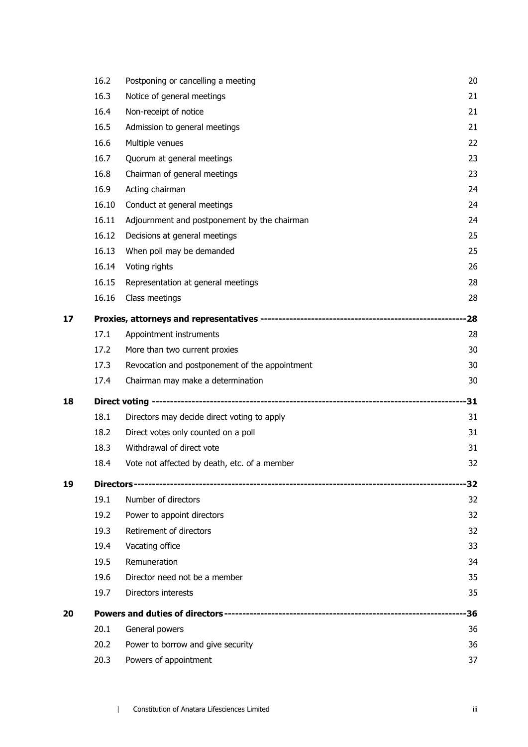|    | 16.2  | Postponing or cancelling a meeting             | 20  |
|----|-------|------------------------------------------------|-----|
|    | 16.3  | Notice of general meetings                     | 21  |
|    | 16.4  | Non-receipt of notice                          | 21  |
|    | 16.5  | Admission to general meetings                  | 21  |
|    | 16.6  | Multiple venues                                | 22  |
|    | 16.7  | Quorum at general meetings                     | 23  |
|    | 16.8  | Chairman of general meetings                   | 23  |
|    | 16.9  | Acting chairman                                | 24  |
|    | 16.10 | Conduct at general meetings                    | 24  |
|    | 16.11 | Adjournment and postponement by the chairman   | 24  |
|    | 16.12 | Decisions at general meetings                  | 25  |
|    | 16.13 | When poll may be demanded                      | 25  |
|    | 16.14 | Voting rights                                  | 26  |
|    | 16.15 | Representation at general meetings             | 28  |
|    | 16.16 | Class meetings                                 | 28  |
| 17 |       |                                                |     |
|    | 17.1  | Appointment instruments                        | 28  |
|    | 17.2  | More than two current proxies                  | 30  |
|    | 17.3  | Revocation and postponement of the appointment | 30  |
|    | 17.4  | Chairman may make a determination              | 30  |
| 18 |       |                                                |     |
|    | 18.1  | Directors may decide direct voting to apply    | 31  |
|    | 18.2  | Direct votes only counted on a poll            | 31  |
|    | 18.3  | Withdrawal of direct vote                      | 31  |
|    | 18.4  | Vote not affected by death, etc. of a member   | 32  |
| 19 |       |                                                | -32 |
|    | 19.1  | Number of directors                            | 32  |
|    | 19.2  | Power to appoint directors                     | 32  |
|    | 19.3  | Retirement of directors                        | 32  |
|    | 19.4  | Vacating office                                | 33  |
|    | 19.5  | Remuneration                                   | 34  |
|    | 19.6  | Director need not be a member                  | 35  |
|    | 19.7  | Directors interests                            | 35  |
| 20 |       |                                                | -36 |
|    | 20.1  | General powers                                 | 36  |
|    | 20.2  | Power to borrow and give security              | 36  |
|    | 20.3  | Powers of appointment                          | 37  |
|    |       |                                                |     |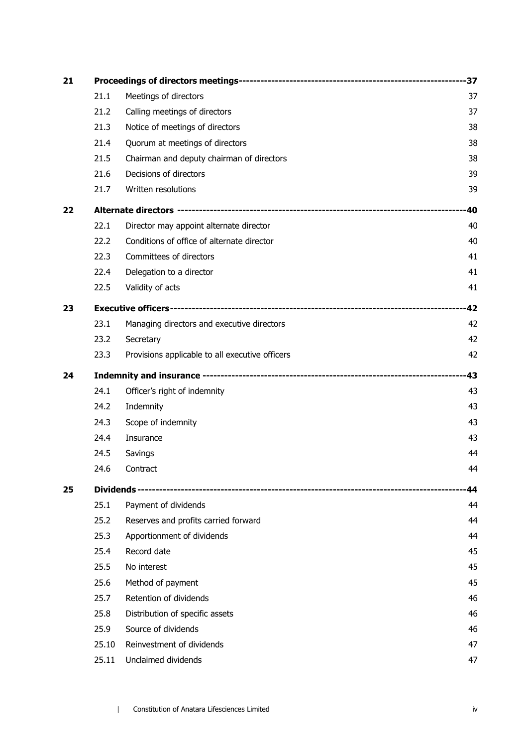| 21 |       |                                                 |       |
|----|-------|-------------------------------------------------|-------|
|    | 21.1  | Meetings of directors                           | 37    |
|    | 21.2  | Calling meetings of directors                   | 37    |
|    | 21.3  | Notice of meetings of directors                 | 38    |
|    | 21.4  | Quorum at meetings of directors                 | 38    |
|    | 21.5  | Chairman and deputy chairman of directors       | 38    |
|    | 21.6  | Decisions of directors                          | 39    |
|    | 21.7  | Written resolutions                             | 39    |
| 22 |       |                                                 |       |
|    | 22.1  | Director may appoint alternate director         | 40    |
|    | 22.2  | Conditions of office of alternate director      | 40    |
|    | 22.3  | Committees of directors                         | 41    |
|    | 22.4  | Delegation to a director                        | 41    |
|    | 22.5  | Validity of acts                                | 41    |
| 23 |       |                                                 | -42   |
|    | 23.1  | Managing directors and executive directors      | 42    |
|    | 23.2  | Secretary                                       | 42    |
|    | 23.3  | Provisions applicable to all executive officers | 42    |
| 24 |       |                                                 | $-43$ |
|    | 24.1  | Officer's right of indemnity                    | 43    |
|    | 24.2  | Indemnity                                       | 43    |
|    | 24.3  | Scope of indemnity                              | 43    |
|    | 24.4  | Insurance                                       | 43    |
|    | 24.5  | Savings                                         | 44    |
|    | 24.6  | Contract                                        | 44    |
| 25 |       |                                                 | 44    |
|    | 25.1  | Payment of dividends                            | 44    |
|    | 25.2  | Reserves and profits carried forward            | 44    |
|    | 25.3  | Apportionment of dividends                      | 44    |
|    | 25.4  | Record date                                     | 45    |
|    | 25.5  | No interest                                     | 45    |
|    | 25.6  | Method of payment                               | 45    |
|    | 25.7  | Retention of dividends                          | 46    |
|    | 25.8  | Distribution of specific assets                 | 46    |
|    | 25.9  | Source of dividends                             | 46    |
|    | 25.10 | Reinvestment of dividends                       | 47    |
|    | 25.11 | Unclaimed dividends                             | 47    |
|    |       |                                                 |       |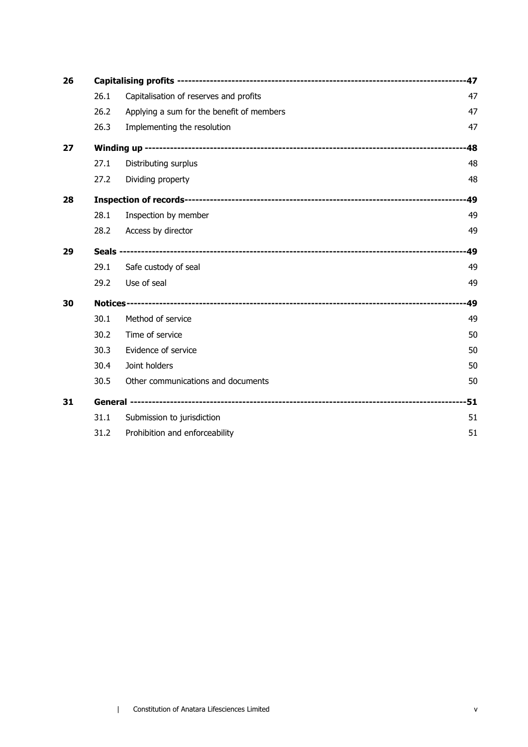| 26 |      |                                           |     |
|----|------|-------------------------------------------|-----|
|    | 26.1 | Capitalisation of reserves and profits    | 47  |
|    | 26.2 | Applying a sum for the benefit of members | 47  |
|    | 26.3 | Implementing the resolution               | 47  |
| 27 |      |                                           | -48 |
|    | 27.1 | Distributing surplus                      | 48  |
|    | 27.2 | Dividing property                         | 48  |
| 28 |      |                                           | 49  |
|    | 28.1 | Inspection by member                      | 49  |
|    | 28.2 | Access by director                        | 49  |
| 29 |      |                                           |     |
|    | 29.1 | Safe custody of seal                      | 49  |
|    | 29.2 | Use of seal                               | 49  |
| 30 |      |                                           |     |
|    | 30.1 | Method of service                         | 49  |
|    | 30.2 | Time of service                           | 50  |
|    | 30.3 | Evidence of service                       | 50  |
|    | 30.4 | Joint holders                             | 50  |
|    | 30.5 | Other communications and documents        | 50  |
| 31 |      |                                           |     |
|    | 31.1 | Submission to jurisdiction                | 51  |
|    | 31.2 | Prohibition and enforceability            | 51  |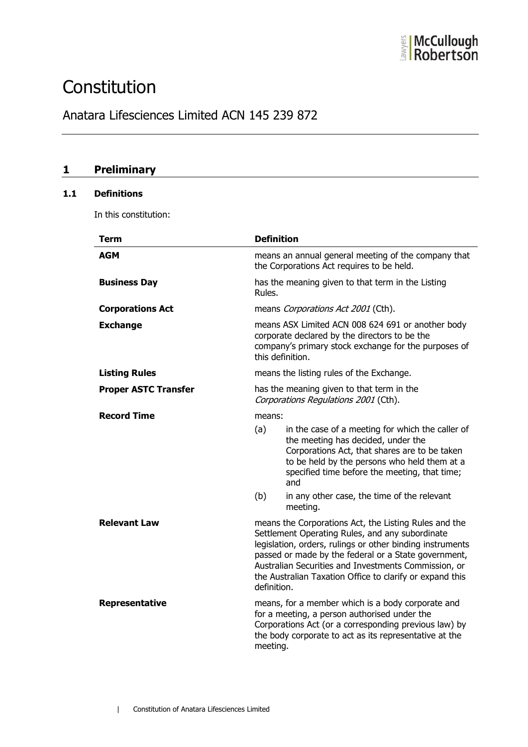

## **Constitution**

## Anatara Lifesciences Limited ACN 145 239 872

## **1 Preliminary**

## **1.1 Definitions**

In this constitution:

| Term                        | <b>Definition</b>                                                                                                                                                                                                                                                                                                                                                |                                                                                                                                                                                                                                                                                                            |
|-----------------------------|------------------------------------------------------------------------------------------------------------------------------------------------------------------------------------------------------------------------------------------------------------------------------------------------------------------------------------------------------------------|------------------------------------------------------------------------------------------------------------------------------------------------------------------------------------------------------------------------------------------------------------------------------------------------------------|
| AGM                         |                                                                                                                                                                                                                                                                                                                                                                  | means an annual general meeting of the company that<br>the Corporations Act requires to be held.                                                                                                                                                                                                           |
| <b>Business Day</b>         | Rules.                                                                                                                                                                                                                                                                                                                                                           | has the meaning given to that term in the Listing                                                                                                                                                                                                                                                          |
| <b>Corporations Act</b>     |                                                                                                                                                                                                                                                                                                                                                                  | means Corporations Act 2001 (Cth).                                                                                                                                                                                                                                                                         |
| <b>Exchange</b>             |                                                                                                                                                                                                                                                                                                                                                                  | means ASX Limited ACN 008 624 691 or another body<br>corporate declared by the directors to be the<br>company's primary stock exchange for the purposes of<br>this definition.                                                                                                                             |
| <b>Listing Rules</b>        |                                                                                                                                                                                                                                                                                                                                                                  | means the listing rules of the Exchange.                                                                                                                                                                                                                                                                   |
| <b>Proper ASTC Transfer</b> |                                                                                                                                                                                                                                                                                                                                                                  | has the meaning given to that term in the<br>Corporations Regulations 2001 (Cth).                                                                                                                                                                                                                          |
| <b>Record Time</b>          | means:<br>(a)<br>(b)                                                                                                                                                                                                                                                                                                                                             | in the case of a meeting for which the caller of<br>the meeting has decided, under the<br>Corporations Act, that shares are to be taken<br>to be held by the persons who held them at a<br>specified time before the meeting, that time;<br>and<br>in any other case, the time of the relevant<br>meeting. |
| <b>Relevant Law</b>         | means the Corporations Act, the Listing Rules and the<br>Settlement Operating Rules, and any subordinate<br>legislation, orders, rulings or other binding instruments<br>passed or made by the federal or a State government,<br>Australian Securities and Investments Commission, or<br>the Australian Taxation Office to clarify or expand this<br>definition. |                                                                                                                                                                                                                                                                                                            |
| Representative              | meeting.                                                                                                                                                                                                                                                                                                                                                         | means, for a member which is a body corporate and<br>for a meeting, a person authorised under the<br>Corporations Act (or a corresponding previous law) by<br>the body corporate to act as its representative at the                                                                                       |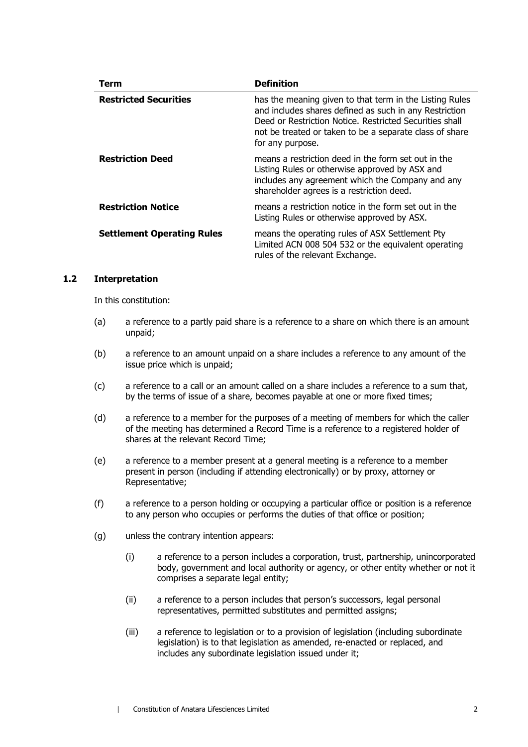| Term                              | <b>Definition</b>                                                                                                                                                                                                                                           |
|-----------------------------------|-------------------------------------------------------------------------------------------------------------------------------------------------------------------------------------------------------------------------------------------------------------|
| <b>Restricted Securities</b>      | has the meaning given to that term in the Listing Rules<br>and includes shares defined as such in any Restriction<br>Deed or Restriction Notice. Restricted Securities shall<br>not be treated or taken to be a separate class of share<br>for any purpose. |
| <b>Restriction Deed</b>           | means a restriction deed in the form set out in the<br>Listing Rules or otherwise approved by ASX and<br>includes any agreement which the Company and any<br>shareholder agrees is a restriction deed.                                                      |
| <b>Restriction Notice</b>         | means a restriction notice in the form set out in the<br>Listing Rules or otherwise approved by ASX.                                                                                                                                                        |
| <b>Settlement Operating Rules</b> | means the operating rules of ASX Settlement Pty<br>Limited ACN 008 504 532 or the equivalent operating<br>rules of the relevant Exchange.                                                                                                                   |

#### <span id="page-8-0"></span>**1.2 Interpretation**

In this constitution:

- (a) a reference to a partly paid share is a reference to a share on which there is an amount unpaid;
- (b) a reference to an amount unpaid on a share includes a reference to any amount of the issue price which is unpaid;
- (c) a reference to a call or an amount called on a share includes a reference to a sum that, by the terms of issue of a share, becomes payable at one or more fixed times;
- (d) a reference to a member for the purposes of a meeting of members for which the caller of the meeting has determined a Record Time is a reference to a registered holder of shares at the relevant Record Time;
- (e) a reference to a member present at a general meeting is a reference to a member present in person (including if attending electronically) or by proxy, attorney or Representative;
- (f) a reference to a person holding or occupying a particular office or position is a reference to any person who occupies or performs the duties of that office or position;
- (g) unless the contrary intention appears:
	- (i) a reference to a person includes a corporation, trust, partnership, unincorporated body, government and local authority or agency, or other entity whether or not it comprises a separate legal entity;
	- (ii) a reference to a person includes that person's successors, legal personal representatives, permitted substitutes and permitted assigns;
	- (iii) a reference to legislation or to a provision of legislation (including subordinate legislation) is to that legislation as amended, re-enacted or replaced, and includes any subordinate legislation issued under it;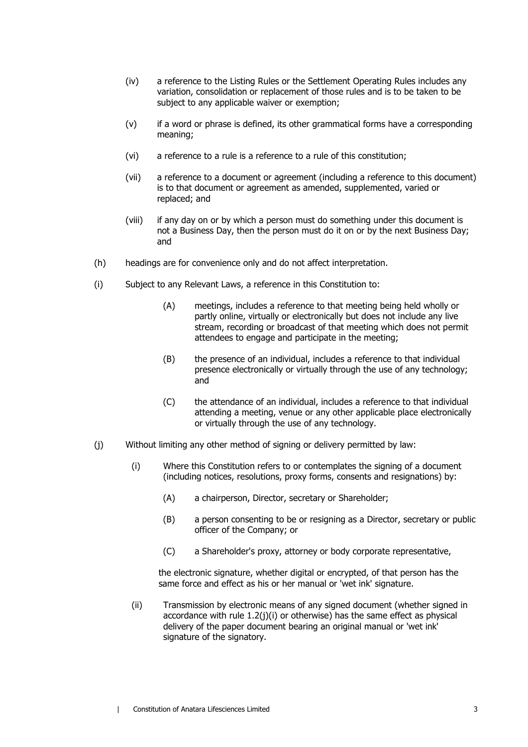- (iv) a reference to the Listing Rules or the Settlement Operating Rules includes any variation, consolidation or replacement of those rules and is to be taken to be subject to any applicable waiver or exemption;
- (v) if a word or phrase is defined, its other grammatical forms have a corresponding meaning;
- (vi) a reference to a rule is a reference to a rule of this constitution;
- (vii) a reference to a document or agreement (including a reference to this document) is to that document or agreement as amended, supplemented, varied or replaced; and
- (viii) if any day on or by which a person must do something under this document is not a Business Day, then the person must do it on or by the next Business Day; and
- (h) headings are for convenience only and do not affect interpretation.
- (i) Subject to any Relevant Laws, a reference in this Constitution to:
	- (A) meetings, includes a reference to that meeting being held wholly or partly online, virtually or electronically but does not include any live stream, recording or broadcast of that meeting which does not permit attendees to engage and participate in the meeting;
	- (B) the presence of an individual, includes a reference to that individual presence electronically or virtually through the use of any technology; and
	- (C) the attendance of an individual, includes a reference to that individual attending a meeting, venue or any other applicable place electronically or virtually through the use of any technology.
- <span id="page-9-1"></span><span id="page-9-0"></span>(j) Without limiting any other method of signing or delivery permitted by law:
	- (i) Where this Constitution refers to or contemplates the signing of a document (including notices, resolutions, proxy forms, consents and resignations) by:
		- (A) a chairperson, Director, secretary or Shareholder;
		- (B) a person consenting to be or resigning as a Director, secretary or public officer of the Company; or
		- (C) a Shareholder's proxy, attorney or body corporate representative,

the electronic signature, whether digital or encrypted, of that person has the same force and effect as his or her manual or 'wet ink' signature.

(ii) Transmission by electronic means of any signed document (whether signed in accordance with rule [1.2](#page-8-0)[\(j\)](#page-9-0)[\(i\)](#page-9-1) or otherwise) has the same effect as physical delivery of the paper document bearing an original manual or 'wet ink' signature of the signatory.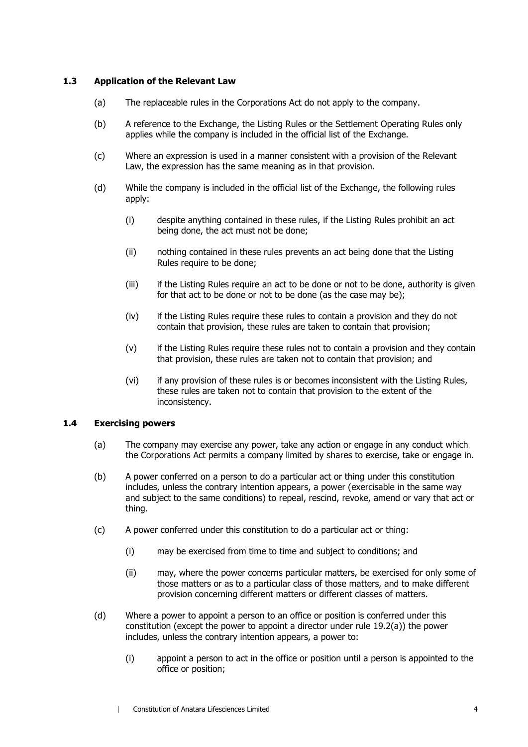#### **1.3 Application of the Relevant Law**

- (a) The replaceable rules in the Corporations Act do not apply to the company.
- (b) A reference to the Exchange, the Listing Rules or the Settlement Operating Rules only applies while the company is included in the official list of the Exchange.
- (c) Where an expression is used in a manner consistent with a provision of the Relevant Law, the expression has the same meaning as in that provision.
- (d) While the company is included in the official list of the Exchange, the following rules apply:
	- (i) despite anything contained in these rules, if the Listing Rules prohibit an act being done, the act must not be done;
	- (ii) nothing contained in these rules prevents an act being done that the Listing Rules require to be done;
	- (iii) if the Listing Rules require an act to be done or not to be done, authority is given for that act to be done or not to be done (as the case may be);
	- (iv) if the Listing Rules require these rules to contain a provision and they do not contain that provision, these rules are taken to contain that provision;
	- (v) if the Listing Rules require these rules not to contain a provision and they contain that provision, these rules are taken not to contain that provision; and
	- (vi) if any provision of these rules is or becomes inconsistent with the Listing Rules, these rules are taken not to contain that provision to the extent of the inconsistency.

#### **1.4 Exercising powers**

- (a) The company may exercise any power, take any action or engage in any conduct which the Corporations Act permits a company limited by shares to exercise, take or engage in.
- (b) A power conferred on a person to do a particular act or thing under this constitution includes, unless the contrary intention appears, a power (exercisable in the same way and subject to the same conditions) to repeal, rescind, revoke, amend or vary that act or thing.
- (c) A power conferred under this constitution to do a particular act or thing:
	- (i) may be exercised from time to time and subject to conditions; and
	- (ii) may, where the power concerns particular matters, be exercised for only some of those matters or as to a particular class of those matters, and to make different provision concerning different matters or different classes of matters.
- (d) Where a power to appoint a person to an office or position is conferred under this constitution (except the power to appoint a director under rule [19.2\(a\)\)](#page-38-0) the power includes, unless the contrary intention appears, a power to:
	- (i) appoint a person to act in the office or position until a person is appointed to the office or position;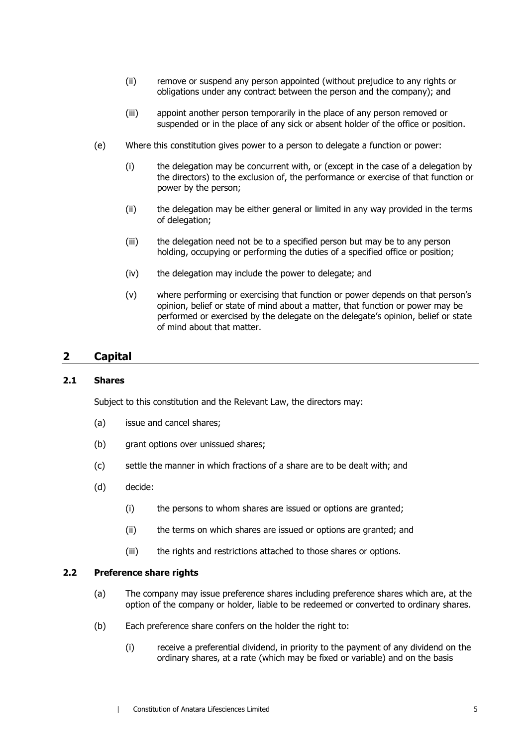- (ii) remove or suspend any person appointed (without prejudice to any rights or obligations under any contract between the person and the company); and
- (iii) appoint another person temporarily in the place of any person removed or suspended or in the place of any sick or absent holder of the office or position.
- (e) Where this constitution gives power to a person to delegate a function or power:
	- (i) the delegation may be concurrent with, or (except in the case of a delegation by the directors) to the exclusion of, the performance or exercise of that function or power by the person;
	- (ii) the delegation may be either general or limited in any way provided in the terms of delegation;
	- (iii) the delegation need not be to a specified person but may be to any person holding, occupying or performing the duties of a specified office or position;
	- (iv) the delegation may include the power to delegate; and
	- (v) where performing or exercising that function or power depends on that person's opinion, belief or state of mind about a matter, that function or power may be performed or exercised by the delegate on the delegate's opinion, belief or state of mind about that matter.

## **2 Capital**

#### **2.1 Shares**

Subject to this constitution and the Relevant Law, the directors may:

- (a) issue and cancel shares;
- (b) grant options over unissued shares;
- (c) settle the manner in which fractions of a share are to be dealt with; and
- (d) decide:
	- (i) the persons to whom shares are issued or options are granted;
	- (ii) the terms on which shares are issued or options are granted; and
	- (iii) the rights and restrictions attached to those shares or options.

#### **2.2 Preference share rights**

- (a) The company may issue preference shares including preference shares which are, at the option of the company or holder, liable to be redeemed or converted to ordinary shares.
- (b) Each preference share confers on the holder the right to:
	- (i) receive a preferential dividend, in priority to the payment of any dividend on the ordinary shares, at a rate (which may be fixed or variable) and on the basis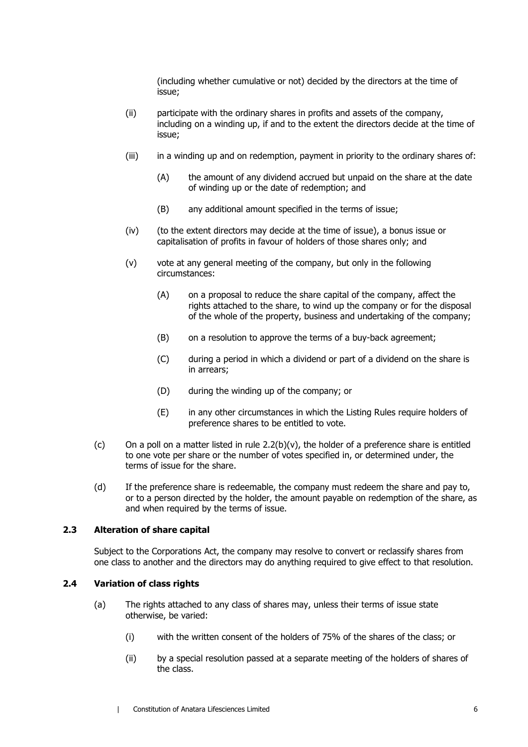(including whether cumulative or not) decided by the directors at the time of issue;

- (ii) participate with the ordinary shares in profits and assets of the company, including on a winding up, if and to the extent the directors decide at the time of issue;
- (iii) in a winding up and on redemption, payment in priority to the ordinary shares of:
	- (A) the amount of any dividend accrued but unpaid on the share at the date of winding up or the date of redemption; and
	- (B) any additional amount specified in the terms of issue;
- (iv) (to the extent directors may decide at the time of issue), a bonus issue or capitalisation of profits in favour of holders of those shares only; and
- <span id="page-12-0"></span>(v) vote at any general meeting of the company, but only in the following circumstances:
	- (A) on a proposal to reduce the share capital of the company, affect the rights attached to the share, to wind up the company or for the disposal of the whole of the property, business and undertaking of the company;
	- (B) on a resolution to approve the terms of a buy-back agreement;
	- (C) during a period in which a dividend or part of a dividend on the share is in arrears;
	- (D) during the winding up of the company; or
	- (E) in any other circumstances in which the Listing Rules require holders of preference shares to be entitled to vote.
- (c) On a poll on a matter listed in rule  $2.2(b)(v)$ , the holder of a preference share is entitled to one vote per share or the number of votes specified in, or determined under, the terms of issue for the share.
- (d) If the preference share is redeemable, the company must redeem the share and pay to, or to a person directed by the holder, the amount payable on redemption of the share, as and when required by the terms of issue.

#### **2.3 Alteration of share capital**

Subject to the Corporations Act, the company may resolve to convert or reclassify shares from one class to another and the directors may do anything required to give effect to that resolution.

#### **2.4 Variation of class rights**

- (a) The rights attached to any class of shares may, unless their terms of issue state otherwise, be varied:
	- (i) with the written consent of the holders of 75% of the shares of the class; or
	- (ii) by a special resolution passed at a separate meeting of the holders of shares of the class.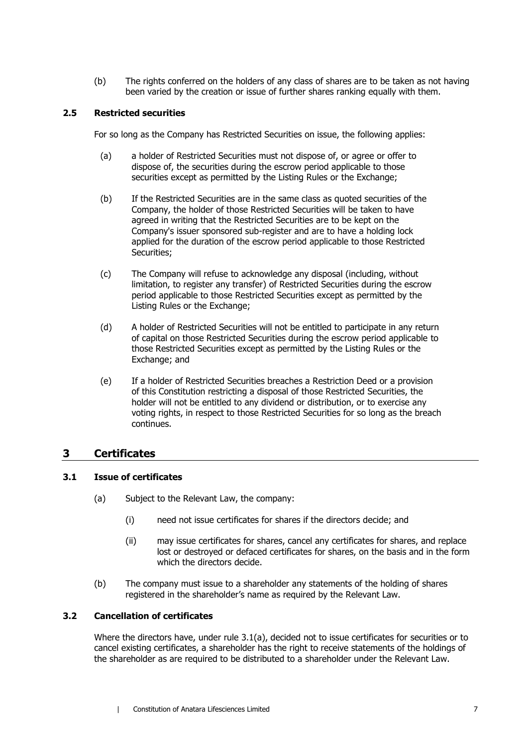(b) The rights conferred on the holders of any class of shares are to be taken as not having been varied by the creation or issue of further shares ranking equally with them.

## **2.5 Restricted securities**

For so long as the Company has Restricted Securities on issue, the following applies:

- (a) a holder of Restricted Securities must not dispose of, or agree or offer to dispose of, the securities during the escrow period applicable to those securities except as permitted by the Listing Rules or the Exchange;
- (b) If the Restricted Securities are in the same class as quoted securities of the Company, the holder of those Restricted Securities will be taken to have agreed in writing that the Restricted Securities are to be kept on the Company's issuer sponsored sub-register and are to have a holding lock applied for the duration of the escrow period applicable to those Restricted Securities;
- (c) The Company will refuse to acknowledge any disposal (including, without limitation, to register any transfer) of Restricted Securities during the escrow period applicable to those Restricted Securities except as permitted by the Listing Rules or the Exchange;
- (d) A holder of Restricted Securities will not be entitled to participate in any return of capital on those Restricted Securities during the escrow period applicable to those Restricted Securities except as permitted by the Listing Rules or the Exchange; and
- (e) If a holder of Restricted Securities breaches a Restriction Deed or a provision of this Constitution restricting a disposal of those Restricted Securities, the holder will not be entitled to any dividend or distribution, or to exercise any voting rights, in respect to those Restricted Securities for so long as the breach continues.

## **3 Certificates**

## <span id="page-13-0"></span>**3.1 Issue of certificates**

- (a) Subject to the Relevant Law, the company:
	- (i) need not issue certificates for shares if the directors decide; and
	- (ii) may issue certificates for shares, cancel any certificates for shares, and replace lost or destroyed or defaced certificates for shares, on the basis and in the form which the directors decide.
- (b) The company must issue to a shareholder any statements of the holding of shares registered in the shareholder's name as required by the Relevant Law.

### **3.2 Cancellation of certificates**

Where the directors have, under rule [3.1\(a\),](#page-13-0) decided not to issue certificates for securities or to cancel existing certificates, a shareholder has the right to receive statements of the holdings of the shareholder as are required to be distributed to a shareholder under the Relevant Law.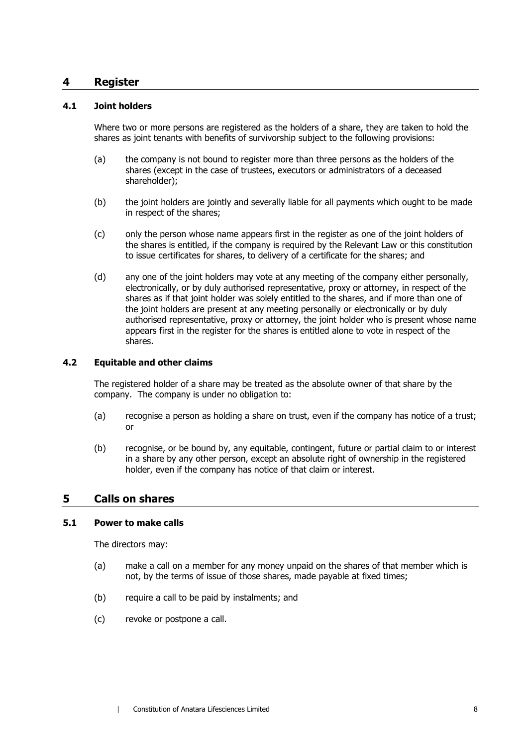## **4 Register**

#### <span id="page-14-1"></span>**4.1 Joint holders**

Where two or more persons are registered as the holders of a share, they are taken to hold the shares as joint tenants with benefits of survivorship subject to the following provisions:

- (a) the company is not bound to register more than three persons as the holders of the shares (except in the case of trustees, executors or administrators of a deceased shareholder);
- (b) the joint holders are jointly and severally liable for all payments which ought to be made in respect of the shares;
- (c) only the person whose name appears first in the register as one of the joint holders of the shares is entitled, if the company is required by the Relevant Law or this constitution to issue certificates for shares, to delivery of a certificate for the shares; and
- (d) any one of the joint holders may vote at any meeting of the company either personally, electronically, or by duly authorised representative, proxy or attorney, in respect of the shares as if that joint holder was solely entitled to the shares, and if more than one of the joint holders are present at any meeting personally or electronically or by duly authorised representative, proxy or attorney, the joint holder who is present whose name appears first in the register for the shares is entitled alone to vote in respect of the shares.

#### **4.2 Equitable and other claims**

The registered holder of a share may be treated as the absolute owner of that share by the company. The company is under no obligation to:

- (a) recognise a person as holding a share on trust, even if the company has notice of a trust; or
- (b) recognise, or be bound by, any equitable, contingent, future or partial claim to or interest in a share by any other person, except an absolute right of ownership in the registered holder, even if the company has notice of that claim or interest.

#### <span id="page-14-0"></span>**5 Calls on shares**

#### **5.1 Power to make calls**

The directors may:

- (a) make a call on a member for any money unpaid on the shares of that member which is not, by the terms of issue of those shares, made payable at fixed times;
- (b) require a call to be paid by instalments; and
- (c) revoke or postpone a call.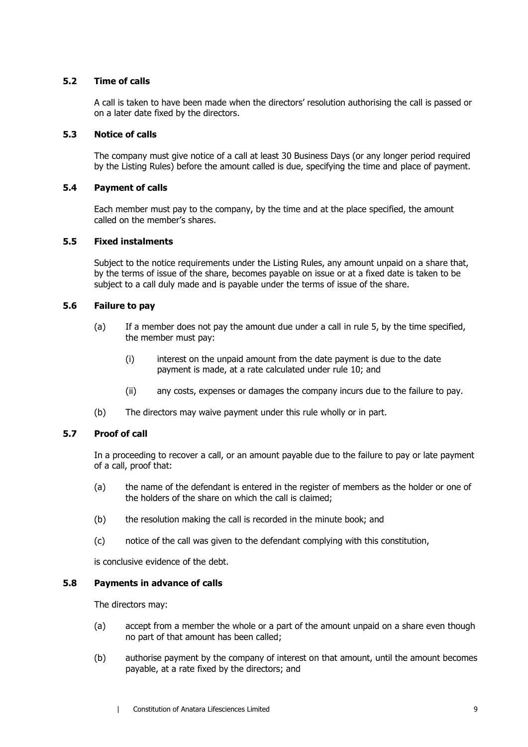#### **5.2 Time of calls**

A call is taken to have been made when the directors' resolution authorising the call is passed or on a later date fixed by the directors.

#### **5.3 Notice of calls**

The company must give notice of a call at least 30 Business Days (or any longer period required by the Listing Rules) before the amount called is due, specifying the time and place of payment.

#### **5.4 Payment of calls**

Each member must pay to the company, by the time and at the place specified, the amount called on the member's shares.

#### **5.5 Fixed instalments**

Subject to the notice requirements under the Listing Rules, any amount unpaid on a share that, by the terms of issue of the share, becomes payable on issue or at a fixed date is taken to be subject to a call duly made and is payable under the terms of issue of the share.

#### **5.6 Failure to pay**

- (a) If a member does not pay the amount due under a call in rule [5,](#page-14-0) by the time specified, the member must pay:
	- (i) interest on the unpaid amount from the date payment is due to the date payment is made, at a rate calculated under rule [10;](#page-19-0) and
	- (ii) any costs, expenses or damages the company incurs due to the failure to pay.
- (b) The directors may waive payment under this rule wholly or in part.

## **5.7 Proof of call**

In a proceeding to recover a call, or an amount payable due to the failure to pay or late payment of a call, proof that:

- (a) the name of the defendant is entered in the register of members as the holder or one of the holders of the share on which the call is claimed;
- (b) the resolution making the call is recorded in the minute book; and
- (c) notice of the call was given to the defendant complying with this constitution,

is conclusive evidence of the debt.

#### <span id="page-15-0"></span>**5.8 Payments in advance of calls**

The directors may:

- (a) accept from a member the whole or a part of the amount unpaid on a share even though no part of that amount has been called;
- (b) authorise payment by the company of interest on that amount, until the amount becomes payable, at a rate fixed by the directors; and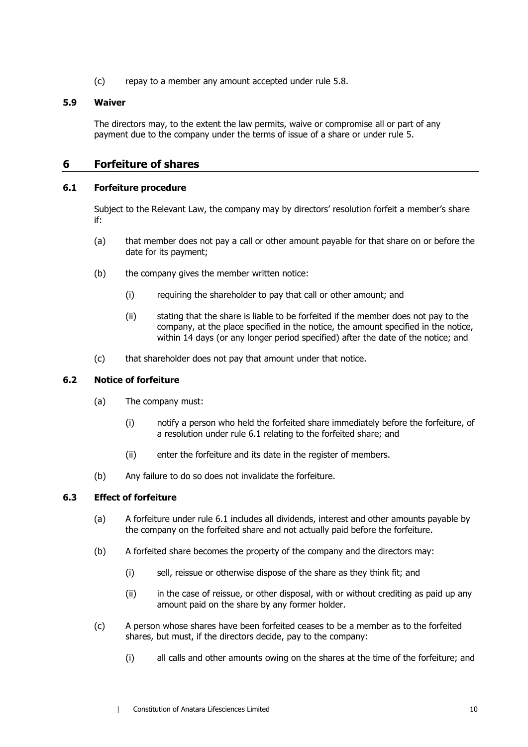(c) repay to a member any amount accepted under rule [5.8.](#page-15-0)

### **5.9 Waiver**

The directors may, to the extent the law permits, waive or compromise all or part of any payment due to the company under the terms of issue of a share or under rule [5.](#page-14-0)

## **6 Forfeiture of shares**

#### <span id="page-16-0"></span>**6.1 Forfeiture procedure**

Subject to the Relevant Law, the company may by directors' resolution forfeit a member's share if:

- (a) that member does not pay a call or other amount payable for that share on or before the date for its payment;
- (b) the company gives the member written notice:
	- (i) requiring the shareholder to pay that call or other amount; and
	- (ii) stating that the share is liable to be forfeited if the member does not pay to the company, at the place specified in the notice, the amount specified in the notice, within 14 days (or any longer period specified) after the date of the notice; and
- (c) that shareholder does not pay that amount under that notice.

## **6.2 Notice of forfeiture**

- (a) The company must:
	- (i) notify a person who held the forfeited share immediately before the forfeiture, of a resolution under rule [6.1](#page-16-0) relating to the forfeited share; and
	- (ii) enter the forfeiture and its date in the register of members.
- (b) Any failure to do so does not invalidate the forfeiture.

## **6.3 Effect of forfeiture**

- (a) A forfeiture under rule [6.1](#page-16-0) includes all dividends, interest and other amounts payable by the company on the forfeited share and not actually paid before the forfeiture.
- <span id="page-16-2"></span>(b) A forfeited share becomes the property of the company and the directors may:
	- (i) sell, reissue or otherwise dispose of the share as they think fit; and
	- (ii) in the case of reissue, or other disposal, with or without crediting as paid up any amount paid on the share by any former holder.
- <span id="page-16-1"></span>(c) A person whose shares have been forfeited ceases to be a member as to the forfeited shares, but must, if the directors decide, pay to the company:
	- (i) all calls and other amounts owing on the shares at the time of the forfeiture; and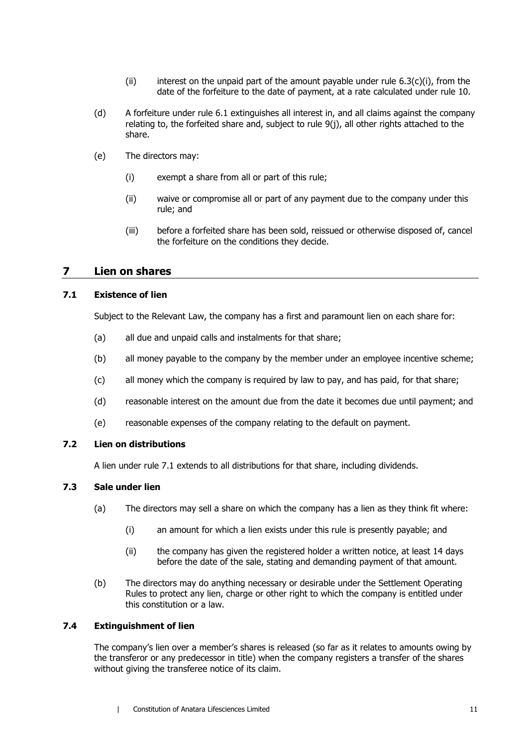- (ii) interest on the unpaid part of the amount payable under rule  $6.3(c)(i)$ , from the date of the forfeiture to the date of payment, at a rate calculated under rule [10.](#page-19-0)
- <span id="page-17-2"></span>(d) A forfeiture under rule [6.1](#page-16-0) extinguishes all interest in, and all claims against the company relating to, the forfeited share and, subject to rule [9\(j\),](#page-19-1) all other rights attached to the share.
- (e) The directors may:
	- (i) exempt a share from all or part of this rule;
	- (ii) waive or compromise all or part of any payment due to the company under this rule; and
	- (iii) before a forfeited share has been sold, reissued or otherwise disposed of, cancel the forfeiture on the conditions they decide.

## **7 Lien on shares**

#### <span id="page-17-0"></span>**7.1 Existence of lien**

Subject to the Relevant Law, the company has a first and paramount lien on each share for:

- (a) all due and unpaid calls and instalments for that share;
- (b) all money payable to the company by the member under an employee incentive scheme;
- (c) all money which the company is required by law to pay, and has paid, for that share;
- (d) reasonable interest on the amount due from the date it becomes due until payment; and
- (e) reasonable expenses of the company relating to the default on payment.

## **7.2 Lien on distributions**

A lien under rule [7.1](#page-17-0) extends to all distributions for that share, including dividends.

#### <span id="page-17-1"></span>**7.3 Sale under lien**

- (a) The directors may sell a share on which the company has a lien as they think fit where:
	- (i) an amount for which a lien exists under this rule is presently payable; and
	- (ii) the company has given the registered holder a written notice, at least 14 days before the date of the sale, stating and demanding payment of that amount.
- (b) The directors may do anything necessary or desirable under the Settlement Operating Rules to protect any lien, charge or other right to which the company is entitled under this constitution or a law.

## **7.4 Extinguishment of lien**

The company's lien over a member's shares is released (so far as it relates to amounts owing by the transferor or any predecessor in title) when the company registers a transfer of the shares without giving the transferee notice of its claim.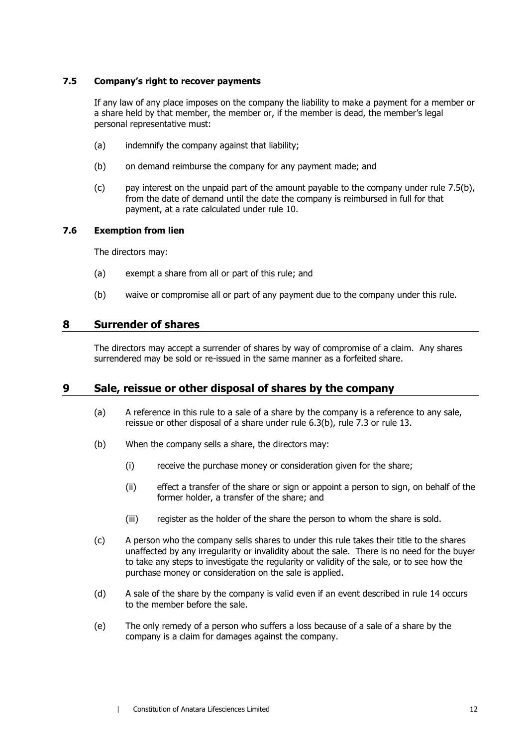#### **7.5 Company's right to recover payments**

If any law of any place imposes on the company the liability to make a payment for a member or a share held by that member, the member or, if the member is dead, the member's legal personal representative must:

- (a) indemnify the company against that liability;
- <span id="page-18-0"></span>(b) on demand reimburse the company for any payment made; and
- (c) pay interest on the unpaid part of the amount payable to the company under rule [7.5\(b\),](#page-18-0) from the date of demand until the date the company is reimbursed in full for that payment, at a rate calculated under rule [10.](#page-19-0)

#### **7.6 Exemption from lien**

The directors may:

- (a) exempt a share from all or part of this rule; and
- (b) waive or compromise all or part of any payment due to the company under this rule.

## **8 Surrender of shares**

The directors may accept a surrender of shares by way of compromise of a claim. Any shares surrendered may be sold or re-issued in the same manner as a forfeited share.

## **9 Sale, reissue or other disposal of shares by the company**

- (a) A reference in this rule to a sale of a share by the company is a reference to any sale, reissue or other disposal of a share under rule [6.3\(b\),](#page-16-2) rule [7.3](#page-17-1) or rule [13.](#page-22-0)
- (b) When the company sells a share, the directors may:
	- (i) receive the purchase money or consideration given for the share;
	- (ii) effect a transfer of the share or sign or appoint a person to sign, on behalf of the former holder, a transfer of the share; and
	- (iii) register as the holder of the share the person to whom the share is sold.
- (c) A person who the company sells shares to under this rule takes their title to the shares unaffected by any irregularity or invalidity about the sale. There is no need for the buyer to take any steps to investigate the regularity or validity of the sale, or to see how the purchase money or consideration on the sale is applied.
- (d) A sale of the share by the company is valid even if an event described in rule [14](#page-24-0) occurs to the member before the sale.
- (e) The only remedy of a person who suffers a loss because of a sale of a share by the company is a claim for damages against the company.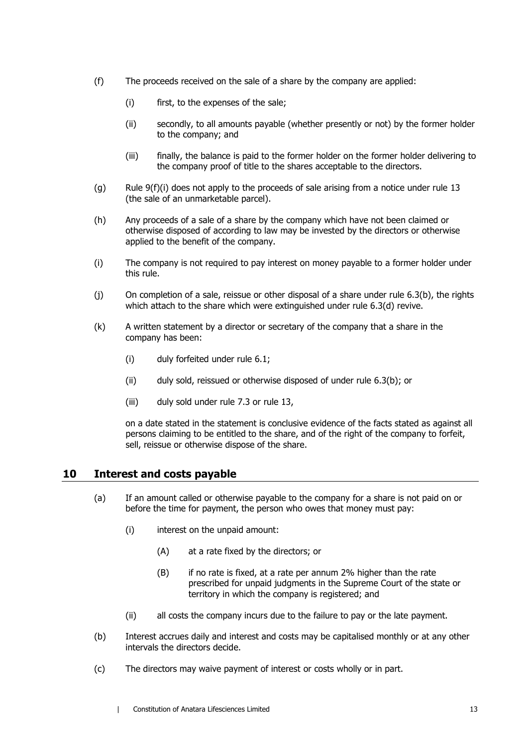- <span id="page-19-2"></span>(f) The proceeds received on the sale of a share by the company are applied:
	- (i) first, to the expenses of the sale;
	- (ii) secondly, to all amounts payable (whether presently or not) by the former holder to the company; and
	- (iii) finally, the balance is paid to the former holder on the former holder delivering to the company proof of title to the shares acceptable to the directors.
- (g) Rule  $9(f)(i)$  does not apply to the proceeds of sale arising from a notice under rule [13](#page-22-0) (the sale of an unmarketable parcel).
- (h) Any proceeds of a sale of a share by the company which have not been claimed or otherwise disposed of according to law may be invested by the directors or otherwise applied to the benefit of the company.
- (i) The company is not required to pay interest on money payable to a former holder under this rule.
- <span id="page-19-1"></span>(j) On completion of a sale, reissue or other disposal of a share under rule [6.3\(b\),](#page-16-2) the rights which attach to the share which were extinguished under rule [6.3\(d\)](#page-17-2) revive.
- (k) A written statement by a director or secretary of the company that a share in the company has been:
	- (i) duly forfeited under rule [6.1;](#page-16-0)
	- (ii) duly sold, reissued or otherwise disposed of under rule [6.3\(b\);](#page-16-2) or
	- (iii) duly sold under rule [7.3](#page-17-1) or rule [13,](#page-22-0)

on a date stated in the statement is conclusive evidence of the facts stated as against all persons claiming to be entitled to the share, and of the right of the company to forfeit, sell, reissue or otherwise dispose of the share.

## <span id="page-19-0"></span>**10 Interest and costs payable**

- (a) If an amount called or otherwise payable to the company for a share is not paid on or before the time for payment, the person who owes that money must pay:
	- (i) interest on the unpaid amount:
		- (A) at a rate fixed by the directors; or
		- (B) if no rate is fixed, at a rate per annum 2% higher than the rate prescribed for unpaid judgments in the Supreme Court of the state or territory in which the company is registered; and
	- (ii) all costs the company incurs due to the failure to pay or the late payment.
- (b) Interest accrues daily and interest and costs may be capitalised monthly or at any other intervals the directors decide.
- (c) The directors may waive payment of interest or costs wholly or in part.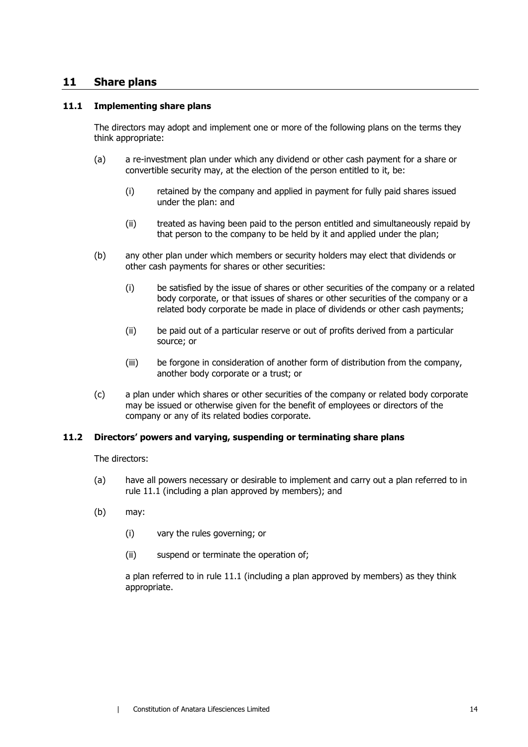## **11 Share plans**

#### <span id="page-20-0"></span>**11.1 Implementing share plans**

The directors may adopt and implement one or more of the following plans on the terms they think appropriate:

- (a) a re-investment plan under which any dividend or other cash payment for a share or convertible security may, at the election of the person entitled to it, be:
	- (i) retained by the company and applied in payment for fully paid shares issued under the plan: and
	- (ii) treated as having been paid to the person entitled and simultaneously repaid by that person to the company to be held by it and applied under the plan;
- (b) any other plan under which members or security holders may elect that dividends or other cash payments for shares or other securities:
	- (i) be satisfied by the issue of shares or other securities of the company or a related body corporate, or that issues of shares or other securities of the company or a related body corporate be made in place of dividends or other cash payments;
	- (ii) be paid out of a particular reserve or out of profits derived from a particular source; or
	- (iii) be forgone in consideration of another form of distribution from the company, another body corporate or a trust; or
- (c) a plan under which shares or other securities of the company or related body corporate may be issued or otherwise given for the benefit of employees or directors of the company or any of its related bodies corporate.

#### **11.2 Directors' powers and varying, suspending or terminating share plans**

The directors:

- (a) have all powers necessary or desirable to implement and carry out a plan referred to in rule [11.1](#page-20-0) (including a plan approved by members); and
- (b) may:
	- (i) vary the rules governing; or
	- (ii) suspend or terminate the operation of;

a plan referred to in rule [11.1](#page-20-0) (including a plan approved by members) as they think appropriate.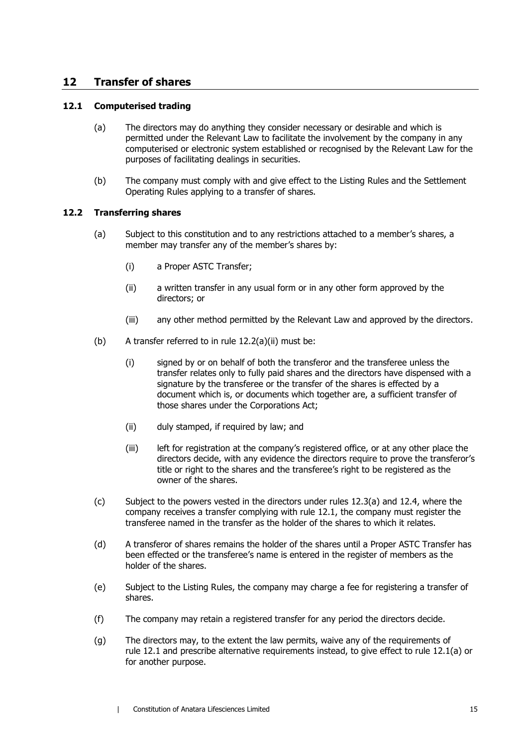## **12 Transfer of shares**

#### <span id="page-21-2"></span><span id="page-21-1"></span>**12.1 Computerised trading**

- (a) The directors may do anything they consider necessary or desirable and which is permitted under the Relevant Law to facilitate the involvement by the company in any computerised or electronic system established or recognised by the Relevant Law for the purposes of facilitating dealings in securities.
- (b) The company must comply with and give effect to the Listing Rules and the Settlement Operating Rules applying to a transfer of shares.

#### **12.2 Transferring shares**

- <span id="page-21-0"></span>(a) Subject to this constitution and to any restrictions attached to a member's shares, a member may transfer any of the member's shares by:
	- (i) a Proper ASTC Transfer;
	- (ii) a written transfer in any usual form or in any other form approved by the directors; or
	- (iii) any other method permitted by the Relevant Law and approved by the directors.
- <span id="page-21-4"></span>(b) A transfer referred to in rule  $12.2(a)(ii)$  must be:
	- (i) signed by or on behalf of both the transferor and the transferee unless the transfer relates only to fully paid shares and the directors have dispensed with a signature by the transferee or the transfer of the shares is effected by a document which is, or documents which together are, a sufficient transfer of those shares under the Corporations Act;
	- (ii) duly stamped, if required by law; and
	- (iii) left for registration at the company's registered office, or at any other place the directors decide, with any evidence the directors require to prove the transferor's title or right to the shares and the transferee's right to be registered as the owner of the shares.
- <span id="page-21-3"></span>(c) Subject to the powers vested in the directors under rules [12.3\(a\)](#page-22-1) and [12.4,](#page-22-2) where the company receives a transfer complying with rule [12.1,](#page-21-1) the company must register the transferee named in the transfer as the holder of the shares to which it relates.
- (d) A transferor of shares remains the holder of the shares until a Proper ASTC Transfer has been effected or the transferee's name is entered in the register of members as the holder of the shares.
- (e) Subject to the Listing Rules, the company may charge a fee for registering a transfer of shares.
- (f) The company may retain a registered transfer for any period the directors decide.
- (g) The directors may, to the extent the law permits, waive any of the requirements of rule [12.1](#page-21-1) and prescribe alternative requirements instead, to give effect to rule [12.1\(a\)](#page-21-2) or for another purpose.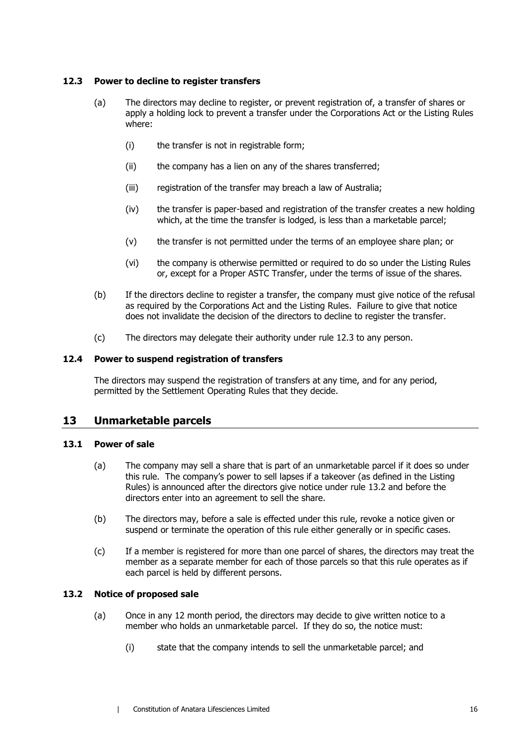#### <span id="page-22-3"></span><span id="page-22-1"></span>**12.3 Power to decline to register transfers**

- (a) The directors may decline to register, or prevent registration of, a transfer of shares or apply a holding lock to prevent a transfer under the Corporations Act or the Listing Rules where:
	- (i) the transfer is not in registrable form;
	- (ii) the company has a lien on any of the shares transferred;
	- (iii) registration of the transfer may breach a law of Australia;
	- (iv) the transfer is paper-based and registration of the transfer creates a new holding which, at the time the transfer is lodged, is less than a marketable parcel;
	- (v) the transfer is not permitted under the terms of an employee share plan; or
	- (vi) the company is otherwise permitted or required to do so under the Listing Rules or, except for a Proper ASTC Transfer, under the terms of issue of the shares.
- (b) If the directors decline to register a transfer, the company must give notice of the refusal as required by the Corporations Act and the Listing Rules. Failure to give that notice does not invalidate the decision of the directors to decline to register the transfer.
- (c) The directors may delegate their authority under rule [12.3](#page-22-3) to any person.

#### <span id="page-22-2"></span>**12.4 Power to suspend registration of transfers**

The directors may suspend the registration of transfers at any time, and for any period, permitted by the Settlement Operating Rules that they decide.

## <span id="page-22-0"></span>**13 Unmarketable parcels**

#### <span id="page-22-5"></span>**13.1 Power of sale**

- (a) The company may sell a share that is part of an unmarketable parcel if it does so under this rule. The company's power to sell lapses if a takeover (as defined in the Listing Rules) is announced after the directors give notice under rule [13.2](#page-22-4) and before the directors enter into an agreement to sell the share.
- (b) The directors may, before a sale is effected under this rule, revoke a notice given or suspend or terminate the operation of this rule either generally or in specific cases.
- (c) If a member is registered for more than one parcel of shares, the directors may treat the member as a separate member for each of those parcels so that this rule operates as if each parcel is held by different persons.

#### <span id="page-22-4"></span>**13.2 Notice of proposed sale**

- (a) Once in any 12 month period, the directors may decide to give written notice to a member who holds an unmarketable parcel. If they do so, the notice must:
	- (i) state that the company intends to sell the unmarketable parcel; and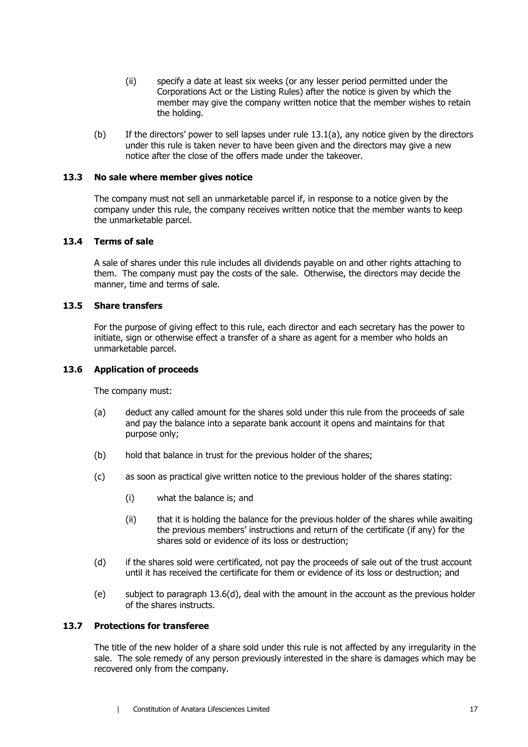- (ii) specify a date at least six weeks (or any lesser period permitted under the Corporations Act or the Listing Rules) after the notice is given by which the member may give the company written notice that the member wishes to retain the holding.
- (b) If the directors' power to sell lapses under rule [13.1\(a\),](#page-22-5) any notice given by the directors under this rule is taken never to have been given and the directors may give a new notice after the close of the offers made under the takeover.

#### **13.3 No sale where member gives notice**

The company must not sell an unmarketable parcel if, in response to a notice given by the company under this rule, the company receives written notice that the member wants to keep the unmarketable parcel.

#### **13.4 Terms of sale**

A sale of shares under this rule includes all dividends payable on and other rights attaching to them. The company must pay the costs of the sale. Otherwise, the directors may decide the manner, time and terms of sale.

#### **13.5 Share transfers**

For the purpose of giving effect to this rule, each director and each secretary has the power to initiate, sign or otherwise effect a transfer of a share as agent for a member who holds an unmarketable parcel.

#### **13.6 Application of proceeds**

The company must:

- (a) deduct any called amount for the shares sold under this rule from the proceeds of sale and pay the balance into a separate bank account it opens and maintains for that purpose only;
- (b) hold that balance in trust for the previous holder of the shares;
- (c) as soon as practical give written notice to the previous holder of the shares stating:
	- (i) what the balance is; and
	- (ii) that it is holding the balance for the previous holder of the shares while awaiting the previous members' instructions and return of the certificate (if any) for the shares sold or evidence of its loss or destruction;
- <span id="page-23-0"></span>(d) if the shares sold were certificated, not pay the proceeds of sale out of the trust account until it has received the certificate for them or evidence of its loss or destruction; and
- (e) subject to paragraph [13.6\(d\),](#page-23-0) deal with the amount in the account as the previous holder of the shares instructs.

#### **13.7 Protections for transferee**

The title of the new holder of a share sold under this rule is not affected by any irregularity in the sale. The sole remedy of any person previously interested in the share is damages which may be recovered only from the company.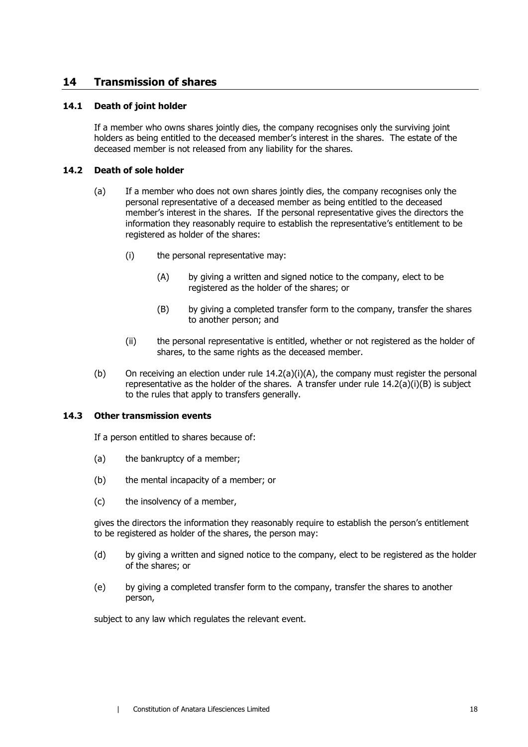## <span id="page-24-0"></span>**14 Transmission of shares**

#### **14.1 Death of joint holder**

If a member who owns shares jointly dies, the company recognises only the surviving joint holders as being entitled to the deceased member's interest in the shares. The estate of the deceased member is not released from any liability for the shares.

#### <span id="page-24-1"></span>**14.2 Death of sole holder**

- <span id="page-24-2"></span>(a) If a member who does not own shares jointly dies, the company recognises only the personal representative of a deceased member as being entitled to the deceased member's interest in the shares. If the personal representative gives the directors the information they reasonably require to establish the representative's entitlement to be registered as holder of the shares:
	- (i) the personal representative may:
		- (A) by giving a written and signed notice to the company, elect to be registered as the holder of the shares; or
		- (B) by giving a completed transfer form to the company, transfer the shares to another person; and
	- (ii) the personal representative is entitled, whether or not registered as the holder of shares, to the same rights as the deceased member.
- <span id="page-24-3"></span>(b) On receiving an election under rule [14.2](#page-24-1)[\(a\)\(i\)\(A\),](#page-24-2) the company must register the personal representative as the holder of the shares. A transfer under rule  $14.2(a)(i)(B)$  $14.2(a)(i)(B)$  is subject to the rules that apply to transfers generally.

#### **14.3 Other transmission events**

If a person entitled to shares because of:

- (a) the bankruptcy of a member;
- (b) the mental incapacity of a member; or
- (c) the insolvency of a member,

gives the directors the information they reasonably require to establish the person's entitlement to be registered as holder of the shares, the person may:

- (d) by giving a written and signed notice to the company, elect to be registered as the holder of the shares; or
- (e) by giving a completed transfer form to the company, transfer the shares to another person,

subject to any law which regulates the relevant event.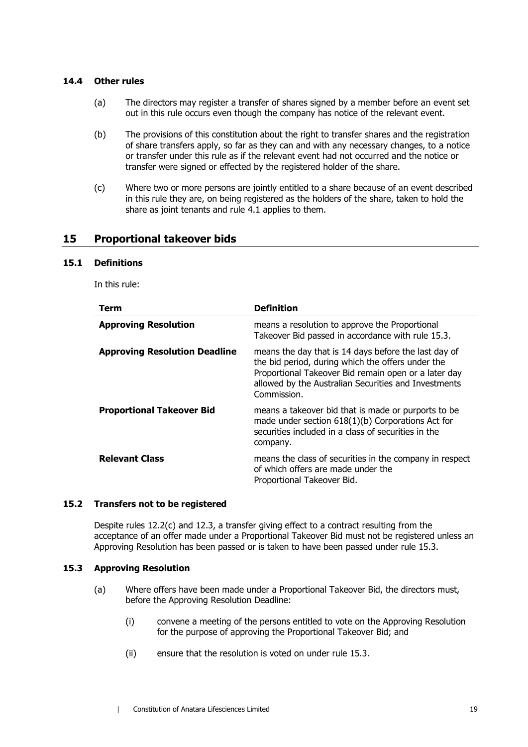#### **14.4 Other rules**

- (a) The directors may register a transfer of shares signed by a member before an event set out in this rule occurs even though the company has notice of the relevant event.
- (b) The provisions of this constitution about the right to transfer shares and the registration of share transfers apply, so far as they can and with any necessary changes, to a notice or transfer under this rule as if the relevant event had not occurred and the notice or transfer were signed or effected by the registered holder of the share.
- (c) Where two or more persons are jointly entitled to a share because of an event described in this rule they are, on being registered as the holders of the share, taken to hold the share as joint tenants and rule [4.1](#page-14-1) applies to them.

## <span id="page-25-4"></span>**15 Proportional takeover bids**

#### <span id="page-25-2"></span>**15.1 Definitions**

In this rule:

| <b>Term</b>                          | <b>Definition</b>                                                                                                                                                                                                                        |
|--------------------------------------|------------------------------------------------------------------------------------------------------------------------------------------------------------------------------------------------------------------------------------------|
| <b>Approving Resolution</b>          | means a resolution to approve the Proportional<br>Takeover Bid passed in accordance with rule 15.3.                                                                                                                                      |
| <b>Approving Resolution Deadline</b> | means the day that is 14 days before the last day of<br>the bid period, during which the offers under the<br>Proportional Takeover Bid remain open or a later day<br>allowed by the Australian Securities and Investments<br>Commission. |
| <b>Proportional Takeover Bid</b>     | means a takeover bid that is made or purports to be<br>made under section $618(1)(b)$ Corporations Act for<br>securities included in a class of securities in the<br>company.                                                            |
| <b>Relevant Class</b>                | means the class of securities in the company in respect<br>of which offers are made under the<br>Proportional Takeover Bid.                                                                                                              |

#### <span id="page-25-3"></span>**15.2 Transfers not to be registered**

Despite rules [12.2\(c\)](#page-21-3) and [12.3,](#page-22-3) a transfer giving effect to a contract resulting from the acceptance of an offer made under a Proportional Takeover Bid must not be registered unless an Approving Resolution has been passed or is taken to have been passed under rule [15.3.](#page-25-0)

#### <span id="page-25-1"></span><span id="page-25-0"></span>**15.3 Approving Resolution**

- (a) Where offers have been made under a Proportional Takeover Bid, the directors must, before the Approving Resolution Deadline:
	- (i) convene a meeting of the persons entitled to vote on the Approving Resolution for the purpose of approving the Proportional Takeover Bid; and
	- (ii) ensure that the resolution is voted on under rule [15.3.](#page-25-0)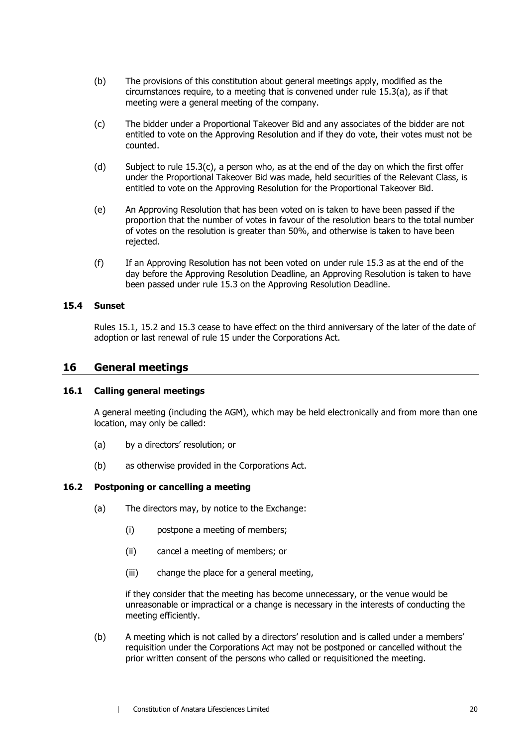- (b) The provisions of this constitution about general meetings apply, modified as the circumstances require, to a meeting that is convened under rule [15.3\(a\),](#page-25-1) as if that meeting were a general meeting of the company.
- <span id="page-26-0"></span>(c) The bidder under a Proportional Takeover Bid and any associates of the bidder are not entitled to vote on the Approving Resolution and if they do vote, their votes must not be counted.
- (d) Subject to rule [15.3\(c\),](#page-26-0) a person who, as at the end of the day on which the first offer under the Proportional Takeover Bid was made, held securities of the Relevant Class, is entitled to vote on the Approving Resolution for the Proportional Takeover Bid.
- (e) An Approving Resolution that has been voted on is taken to have been passed if the proportion that the number of votes in favour of the resolution bears to the total number of votes on the resolution is greater than 50%, and otherwise is taken to have been rejected.
- (f) If an Approving Resolution has not been voted on under rule [15.3](#page-25-0) as at the end of the day before the Approving Resolution Deadline, an Approving Resolution is taken to have been passed under rule [15.3](#page-25-0) on the Approving Resolution Deadline.

#### **15.4 Sunset**

Rules [15.1,](#page-25-2) [15.2](#page-25-3) and [15.3](#page-25-0) cease to have effect on the third anniversary of the later of the date of adoption or last renewal of rule [15](#page-25-4) under the Corporations Act.

## **16 General meetings**

#### **16.1 Calling general meetings**

A general meeting (including the AGM), which may be held electronically and from more than one location, may only be called:

- (a) by a directors' resolution; or
- (b) as otherwise provided in the Corporations Act.

#### <span id="page-26-1"></span>**16.2 Postponing or cancelling a meeting**

- (a) The directors may, by notice to the Exchange:
	- (i) postpone a meeting of members;
	- (ii) cancel a meeting of members; or
	- (iii) change the place for a general meeting,

<span id="page-26-2"></span>if they consider that the meeting has become unnecessary, or the venue would be unreasonable or impractical or a change is necessary in the interests of conducting the meeting efficiently.

(b) A meeting which is not called by a directors' resolution and is called under a members' requisition under the Corporations Act may not be postponed or cancelled without the prior written consent of the persons who called or requisitioned the meeting.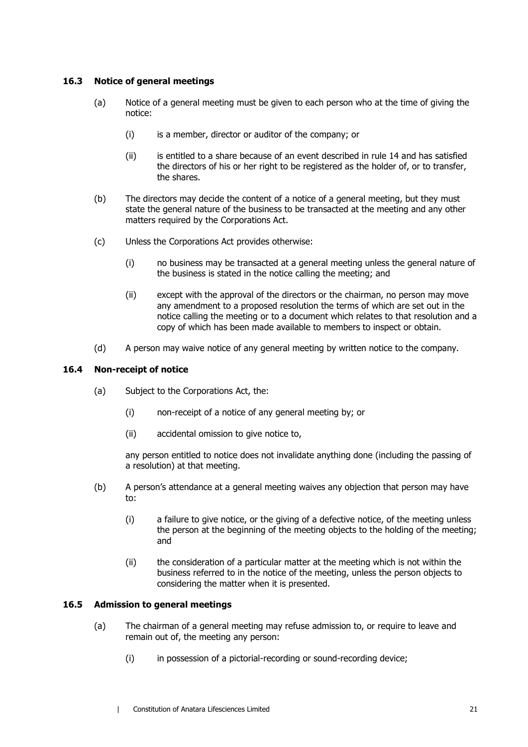#### **16.3 Notice of general meetings**

- (a) Notice of a general meeting must be given to each person who at the time of giving the notice:
	- (i) is a member, director or auditor of the company; or
	- (ii) is entitled to a share because of an event described in rule [14](#page-24-0) and has satisfied the directors of his or her right to be registered as the holder of, or to transfer, the shares.
- (b) The directors may decide the content of a notice of a general meeting, but they must state the general nature of the business to be transacted at the meeting and any other matters required by the Corporations Act.
- (c) Unless the Corporations Act provides otherwise:
	- (i) no business may be transacted at a general meeting unless the general nature of the business is stated in the notice calling the meeting; and
	- (ii) except with the approval of the directors or the chairman, no person may move any amendment to a proposed resolution the terms of which are set out in the notice calling the meeting or to a document which relates to that resolution and a copy of which has been made available to members to inspect or obtain.
- (d) A person may waive notice of any general meeting by written notice to the company.

#### **16.4 Non-receipt of notice**

- (a) Subject to the Corporations Act, the:
	- (i) non-receipt of a notice of any general meeting by; or
	- (ii) accidental omission to give notice to,

any person entitled to notice does not invalidate anything done (including the passing of a resolution) at that meeting.

- (b) A person's attendance at a general meeting waives any objection that person may have to:
	- (i) a failure to give notice, or the giving of a defective notice, of the meeting unless the person at the beginning of the meeting objects to the holding of the meeting; and
	- (ii) the consideration of a particular matter at the meeting which is not within the business referred to in the notice of the meeting, unless the person objects to considering the matter when it is presented.

#### **16.5 Admission to general meetings**

- (a) The chairman of a general meeting may refuse admission to, or require to leave and remain out of, the meeting any person:
	- (i) in possession of a pictorial-recording or sound-recording device;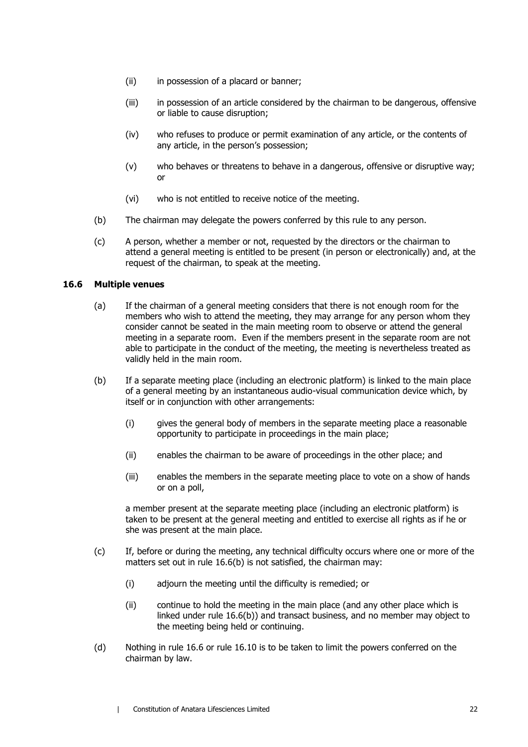- (ii) in possession of a placard or banner;
- (iii) in possession of an article considered by the chairman to be dangerous, offensive or liable to cause disruption;
- (iv) who refuses to produce or permit examination of any article, or the contents of any article, in the person's possession;
- (v) who behaves or threatens to behave in a dangerous, offensive or disruptive way; or
- (vi) who is not entitled to receive notice of the meeting.
- (b) The chairman may delegate the powers conferred by this rule to any person.
- (c) A person, whether a member or not, requested by the directors or the chairman to attend a general meeting is entitled to be present (in person or electronically) and, at the request of the chairman, to speak at the meeting.

#### <span id="page-28-1"></span>**16.6 Multiple venues**

- (a) If the chairman of a general meeting considers that there is not enough room for the members who wish to attend the meeting, they may arrange for any person whom they consider cannot be seated in the main meeting room to observe or attend the general meeting in a separate room. Even if the members present in the separate room are not able to participate in the conduct of the meeting, the meeting is nevertheless treated as validly held in the main room.
- <span id="page-28-0"></span>(b) If a separate meeting place (including an electronic platform) is linked to the main place of a general meeting by an instantaneous audio-visual communication device which, by itself or in conjunction with other arrangements:
	- (i) gives the general body of members in the separate meeting place a reasonable opportunity to participate in proceedings in the main place;
	- (ii) enables the chairman to be aware of proceedings in the other place; and
	- (iii) enables the members in the separate meeting place to vote on a show of hands or on a poll,

a member present at the separate meeting place (including an electronic platform) is taken to be present at the general meeting and entitled to exercise all rights as if he or she was present at the main place.

- (c) If, before or during the meeting, any technical difficulty occurs where one or more of the matters set out in rule [16.6\(b\)](#page-28-0) is not satisfied, the chairman may:
	- (i) adjourn the meeting until the difficulty is remedied; or
	- (ii) continue to hold the meeting in the main place (and any other place which is linked under rule [16.6\(b\)\)](#page-28-0) and transact business, and no member may object to the meeting being held or continuing.
- (d) Nothing in rule [16.6](#page-28-1) or rule [16.10](#page-30-0) is to be taken to limit the powers conferred on the chairman by law.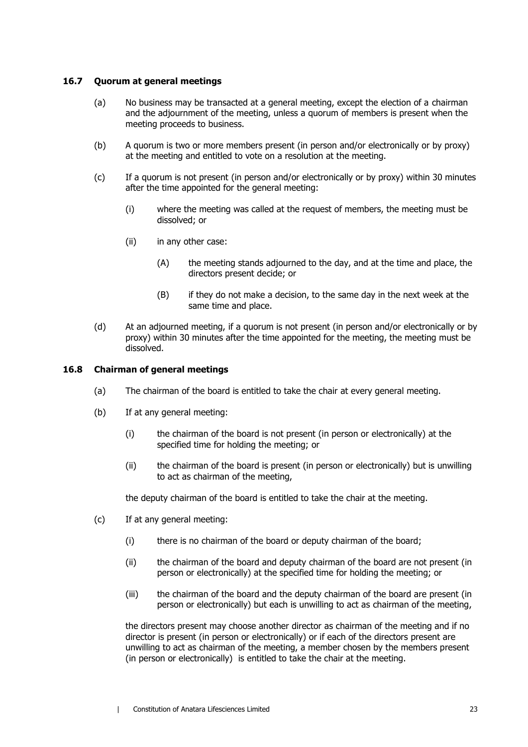#### **16.7 Quorum at general meetings**

- (a) No business may be transacted at a general meeting, except the election of a chairman and the adjournment of the meeting, unless a quorum of members is present when the meeting proceeds to business.
- (b) A quorum is two or more members present (in person and/or electronically or by proxy) at the meeting and entitled to vote on a resolution at the meeting.
- (c) If a quorum is not present (in person and/or electronically or by proxy) within 30 minutes after the time appointed for the general meeting:
	- (i) where the meeting was called at the request of members, the meeting must be dissolved; or
	- (ii) in any other case:
		- (A) the meeting stands adjourned to the day, and at the time and place, the directors present decide; or
		- (B) if they do not make a decision, to the same day in the next week at the same time and place.
- (d) At an adjourned meeting, if a quorum is not present (in person and/or electronically or by proxy) within 30 minutes after the time appointed for the meeting, the meeting must be dissolved.

#### **16.8 Chairman of general meetings**

- (a) The chairman of the board is entitled to take the chair at every general meeting.
- (b) If at any general meeting:
	- (i) the chairman of the board is not present (in person or electronically) at the specified time for holding the meeting; or
	- (ii) the chairman of the board is present (in person or electronically) but is unwilling to act as chairman of the meeting,

the deputy chairman of the board is entitled to take the chair at the meeting.

- (c) If at any general meeting:
	- (i) there is no chairman of the board or deputy chairman of the board;
	- (ii) the chairman of the board and deputy chairman of the board are not present (in person or electronically) at the specified time for holding the meeting; or
	- (iii) the chairman of the board and the deputy chairman of the board are present (in person or electronically) but each is unwilling to act as chairman of the meeting,

the directors present may choose another director as chairman of the meeting and if no director is present (in person or electronically) or if each of the directors present are unwilling to act as chairman of the meeting, a member chosen by the members present (in person or electronically) is entitled to take the chair at the meeting.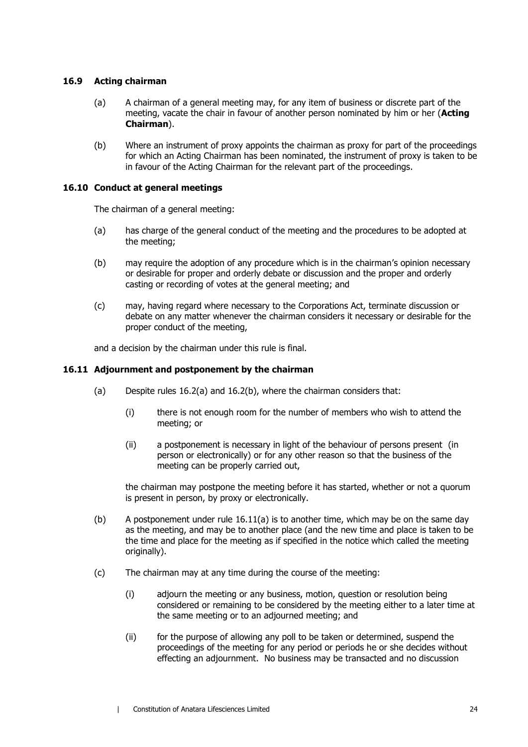#### **16.9 Acting chairman**

- (a) A chairman of a general meeting may, for any item of business or discrete part of the meeting, vacate the chair in favour of another person nominated by him or her (**Acting Chairman**).
- (b) Where an instrument of proxy appoints the chairman as proxy for part of the proceedings for which an Acting Chairman has been nominated, the instrument of proxy is taken to be in favour of the Acting Chairman for the relevant part of the proceedings.

#### <span id="page-30-0"></span>**16.10 Conduct at general meetings**

The chairman of a general meeting:

- (a) has charge of the general conduct of the meeting and the procedures to be adopted at the meeting;
- (b) may require the adoption of any procedure which is in the chairman's opinion necessary or desirable for proper and orderly debate or discussion and the proper and orderly casting or recording of votes at the general meeting; and
- (c) may, having regard where necessary to the Corporations Act, terminate discussion or debate on any matter whenever the chairman considers it necessary or desirable for the proper conduct of the meeting,

and a decision by the chairman under this rule is final.

### <span id="page-30-2"></span><span id="page-30-1"></span>**16.11 Adjournment and postponement by the chairman**

- (a) Despite rules [16.2\(a\)](#page-26-1) and [16.2\(b\),](#page-26-2) where the chairman considers that:
	- (i) there is not enough room for the number of members who wish to attend the meeting; or
	- (ii) a postponement is necessary in light of the behaviour of persons present (in person or electronically) or for any other reason so that the business of the meeting can be properly carried out,

the chairman may postpone the meeting before it has started, whether or not a quorum is present in person, by proxy or electronically.

- (b) A postponement under rule  $16.11(a)$  is to another time, which may be on the same day as the meeting, and may be to another place (and the new time and place is taken to be the time and place for the meeting as if specified in the notice which called the meeting originally).
- <span id="page-30-3"></span>(c) The chairman may at any time during the course of the meeting:
	- (i) adjourn the meeting or any business, motion, question or resolution being considered or remaining to be considered by the meeting either to a later time at the same meeting or to an adjourned meeting; and
	- (ii) for the purpose of allowing any poll to be taken or determined, suspend the proceedings of the meeting for any period or periods he or she decides without effecting an adjournment. No business may be transacted and no discussion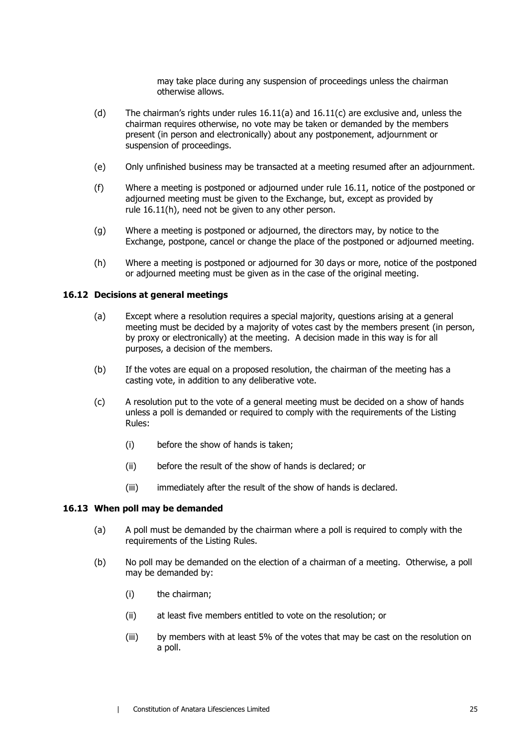may take place during any suspension of proceedings unless the chairman otherwise allows.

- (d) The chairman's rights under rules  $16.11(a)$  $16.11(a)$  and  $16.11(c)$  $16.11(c)$  are exclusive and, unless the chairman requires otherwise, no vote may be taken or demanded by the members present (in person and electronically) about any postponement, adjournment or suspension of proceedings.
- (e) Only unfinished business may be transacted at a meeting resumed after an adjournment.
- (f) Where a meeting is postponed or adjourned under rule [16.11,](#page-30-2) notice of the postponed or adjourned meeting must be given to the Exchange, but, except as provided by rule [16.11\(h\),](#page-31-0) need not be given to any other person.
- (g) Where a meeting is postponed or adjourned, the directors may, by notice to the Exchange, postpone, cancel or change the place of the postponed or adjourned meeting.
- <span id="page-31-0"></span>(h) Where a meeting is postponed or adjourned for 30 days or more, notice of the postponed or adjourned meeting must be given as in the case of the original meeting.

#### **16.12 Decisions at general meetings**

- (a) Except where a resolution requires a special majority, questions arising at a general meeting must be decided by a majority of votes cast by the members present (in person, by proxy or electronically) at the meeting. A decision made in this way is for all purposes, a decision of the members.
- (b) If the votes are equal on a proposed resolution, the chairman of the meeting has a casting vote, in addition to any deliberative vote.
- (c) A resolution put to the vote of a general meeting must be decided on a show of hands unless a poll is demanded or required to comply with the requirements of the Listing Rules:
	- (i) before the show of hands is taken;
	- (ii) before the result of the show of hands is declared; or
	- (iii) immediately after the result of the show of hands is declared.

#### **16.13 When poll may be demanded**

- (a) A poll must be demanded by the chairman where a poll is required to comply with the requirements of the Listing Rules.
- (b) No poll may be demanded on the election of a chairman of a meeting. Otherwise, a poll may be demanded by:
	- (i) the chairman;
	- (ii) at least five members entitled to vote on the resolution; or
	- (iii) by members with at least 5% of the votes that may be cast on the resolution on a poll.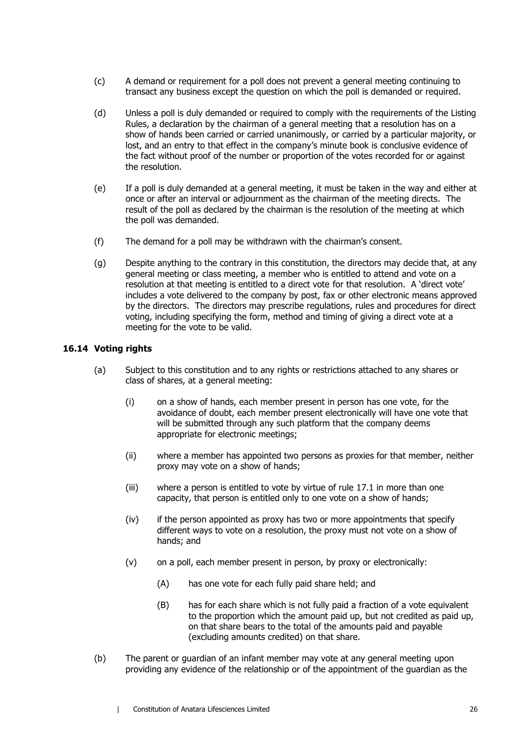- (c) A demand or requirement for a poll does not prevent a general meeting continuing to transact any business except the question on which the poll is demanded or required.
- (d) Unless a poll is duly demanded or required to comply with the requirements of the Listing Rules, a declaration by the chairman of a general meeting that a resolution has on a show of hands been carried or carried unanimously, or carried by a particular majority, or lost, and an entry to that effect in the company's minute book is conclusive evidence of the fact without proof of the number or proportion of the votes recorded for or against the resolution.
- (e) If a poll is duly demanded at a general meeting, it must be taken in the way and either at once or after an interval or adjournment as the chairman of the meeting directs. The result of the poll as declared by the chairman is the resolution of the meeting at which the poll was demanded.
- (f) The demand for a poll may be withdrawn with the chairman's consent.
- (g) Despite anything to the contrary in this constitution, the directors may decide that, at any general meeting or class meeting, a member who is entitled to attend and vote on a resolution at that meeting is entitled to a direct vote for that resolution. A 'direct vote' includes a vote delivered to the company by post, fax or other electronic means approved by the directors. The directors may prescribe regulations, rules and procedures for direct voting, including specifying the form, method and timing of giving a direct vote at a meeting for the vote to be valid.

#### **16.14 Voting rights**

- (a) Subject to this constitution and to any rights or restrictions attached to any shares or class of shares, at a general meeting:
	- (i) on a show of hands, each member present in person has one vote, for the avoidance of doubt, each member present electronically will have one vote that will be submitted through any such platform that the company deems appropriate for electronic meetings;
	- (ii) where a member has appointed two persons as proxies for that member, neither proxy may vote on a show of hands;
	- (iii) where a person is entitled to vote by virtue of rule [17.1](#page-34-0) in more than one capacity, that person is entitled only to one vote on a show of hands;
	- (iv) if the person appointed as proxy has two or more appointments that specify different ways to vote on a resolution, the proxy must not vote on a show of hands; and
	- (v) on a poll, each member present in person, by proxy or electronically:
		- (A) has one vote for each fully paid share held; and
		- (B) has for each share which is not fully paid a fraction of a vote equivalent to the proportion which the amount paid up, but not credited as paid up, on that share bears to the total of the amounts paid and payable (excluding amounts credited) on that share.
- (b) The parent or guardian of an infant member may vote at any general meeting upon providing any evidence of the relationship or of the appointment of the guardian as the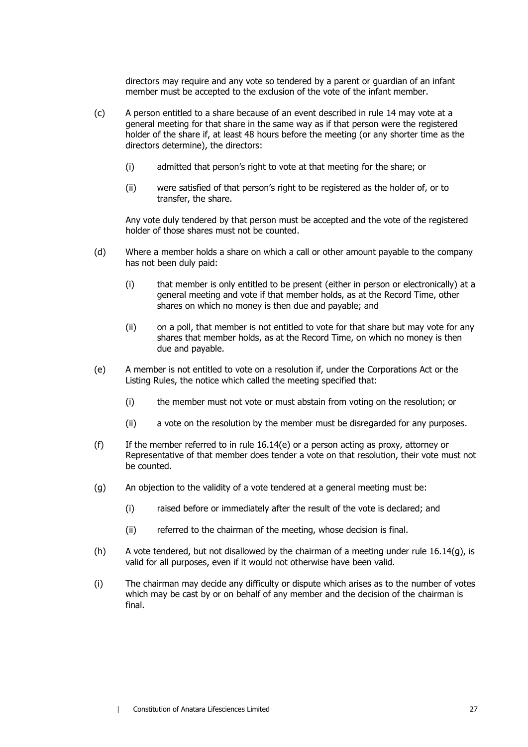directors may require and any vote so tendered by a parent or guardian of an infant member must be accepted to the exclusion of the vote of the infant member.

- (c) A person entitled to a share because of an event described in rule [14](#page-24-0) may vote at a general meeting for that share in the same way as if that person were the registered holder of the share if, at least 48 hours before the meeting (or any shorter time as the directors determine), the directors:
	- (i) admitted that person's right to vote at that meeting for the share; or
	- (ii) were satisfied of that person's right to be registered as the holder of, or to transfer, the share.

Any vote duly tendered by that person must be accepted and the vote of the registered holder of those shares must not be counted.

- (d) Where a member holds a share on which a call or other amount payable to the company has not been duly paid:
	- (i) that member is only entitled to be present (either in person or electronically) at a general meeting and vote if that member holds, as at the Record Time, other shares on which no money is then due and payable; and
	- (ii) on a poll, that member is not entitled to vote for that share but may vote for any shares that member holds, as at the Record Time, on which no money is then due and payable.
- <span id="page-33-0"></span>(e) A member is not entitled to vote on a resolution if, under the Corporations Act or the Listing Rules, the notice which called the meeting specified that:
	- (i) the member must not vote or must abstain from voting on the resolution; or
	- (ii) a vote on the resolution by the member must be disregarded for any purposes.
- (f) If the member referred to in rule  $16.14(e)$  or a person acting as proxy, attorney or Representative of that member does tender a vote on that resolution, their vote must not be counted.
- <span id="page-33-1"></span>(g) An objection to the validity of a vote tendered at a general meeting must be:
	- (i) raised before or immediately after the result of the vote is declared; and
	- (ii) referred to the chairman of the meeting, whose decision is final.
- (h) A vote tendered, but not disallowed by the chairman of a meeting under rule  $16.14(q)$ , is valid for all purposes, even if it would not otherwise have been valid.
- (i) The chairman may decide any difficulty or dispute which arises as to the number of votes which may be cast by or on behalf of any member and the decision of the chairman is final.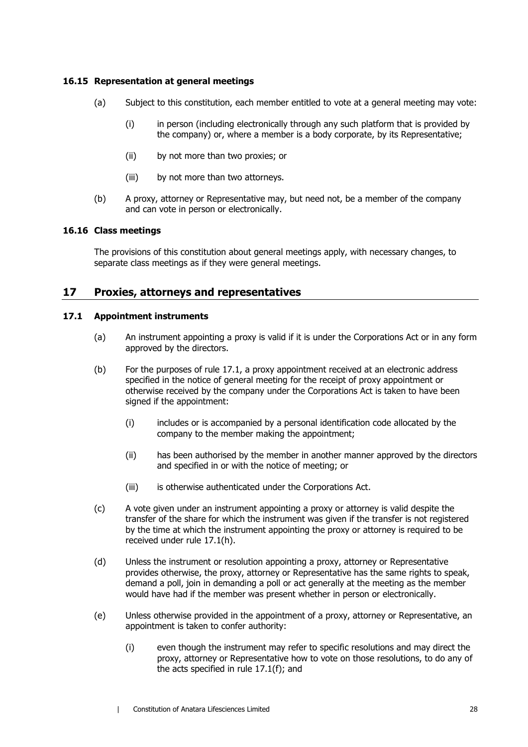#### **16.15 Representation at general meetings**

- (a) Subject to this constitution, each member entitled to vote at a general meeting may vote:
	- (i) in person (including electronically through any such platform that is provided by the company) or, where a member is a body corporate, by its Representative;
	- (ii) by not more than two proxies; or
	- (iii) by not more than two attorneys.
- (b) A proxy, attorney or Representative may, but need not, be a member of the company and can vote in person or electronically.

#### **16.16 Class meetings**

The provisions of this constitution about general meetings apply, with necessary changes, to separate class meetings as if they were general meetings.

## **17 Proxies, attorneys and representatives**

#### <span id="page-34-0"></span>**17.1 Appointment instruments**

- (a) An instrument appointing a proxy is valid if it is under the Corporations Act or in any form approved by the directors.
- (b) For the purposes of rule [17.1,](#page-34-0) a proxy appointment received at an electronic address specified in the notice of general meeting for the receipt of proxy appointment or otherwise received by the company under the Corporations Act is taken to have been signed if the appointment:
	- (i) includes or is accompanied by a personal identification code allocated by the company to the member making the appointment;
	- (ii) has been authorised by the member in another manner approved by the directors and specified in or with the notice of meeting; or
	- (iii) is otherwise authenticated under the Corporations Act.
- (c) A vote given under an instrument appointing a proxy or attorney is valid despite the transfer of the share for which the instrument was given if the transfer is not registered by the time at which the instrument appointing the proxy or attorney is required to be received under rule [17.1\(h\).](#page-35-0)
- (d) Unless the instrument or resolution appointing a proxy, attorney or Representative provides otherwise, the proxy, attorney or Representative has the same rights to speak, demand a poll, join in demanding a poll or act generally at the meeting as the member would have had if the member was present whether in person or electronically.
- <span id="page-34-1"></span>(e) Unless otherwise provided in the appointment of a proxy, attorney or Representative, an appointment is taken to confer authority:
	- (i) even though the instrument may refer to specific resolutions and may direct the proxy, attorney or Representative how to vote on those resolutions, to do any of the acts specified in rule [17.1\(f\);](#page-35-1) and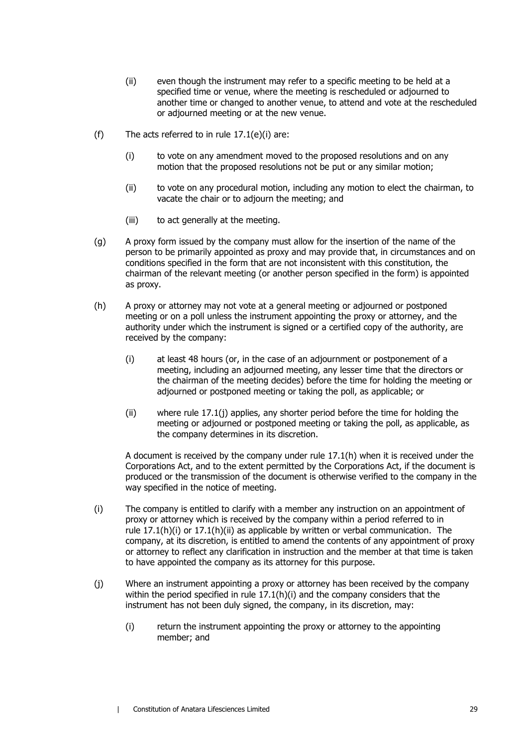- (ii) even though the instrument may refer to a specific meeting to be held at a specified time or venue, where the meeting is rescheduled or adjourned to another time or changed to another venue, to attend and vote at the rescheduled or adjourned meeting or at the new venue.
- <span id="page-35-1"></span>(f) The acts referred to in rule  $17.1(e)(i)$  are:
	- (i) to vote on any amendment moved to the proposed resolutions and on any motion that the proposed resolutions not be put or any similar motion;
	- (ii) to vote on any procedural motion, including any motion to elect the chairman, to vacate the chair or to adjourn the meeting; and
	- (iii) to act generally at the meeting.
- (g) A proxy form issued by the company must allow for the insertion of the name of the person to be primarily appointed as proxy and may provide that, in circumstances and on conditions specified in the form that are not inconsistent with this constitution, the chairman of the relevant meeting (or another person specified in the form) is appointed as proxy.
- <span id="page-35-3"></span><span id="page-35-0"></span>(h) A proxy or attorney may not vote at a general meeting or adjourned or postponed meeting or on a poll unless the instrument appointing the proxy or attorney, and the authority under which the instrument is signed or a certified copy of the authority, are received by the company:
	- (i) at least 48 hours (or, in the case of an adjournment or postponement of a meeting, including an adjourned meeting, any lesser time that the directors or the chairman of the meeting decides) before the time for holding the meeting or adjourned or postponed meeting or taking the poll, as applicable; or
	- (ii) where rule [17.1\(j\)](#page-35-2) applies, any shorter period before the time for holding the meeting or adjourned or postponed meeting or taking the poll, as applicable, as the company determines in its discretion.

<span id="page-35-4"></span>A document is received by the company under rule [17.1\(h\)](#page-35-0) when it is received under the Corporations Act, and to the extent permitted by the Corporations Act, if the document is produced or the transmission of the document is otherwise verified to the company in the way specified in the notice of meeting.

- <span id="page-35-5"></span>(i) The company is entitled to clarify with a member any instruction on an appointment of proxy or attorney which is received by the company within a period referred to in rule [17.1\(h\)\(i\)](#page-35-3) or [17.1\(h\)\(ii\)](#page-35-4) as applicable by written or verbal communication. The company, at its discretion, is entitled to amend the contents of any appointment of proxy or attorney to reflect any clarification in instruction and the member at that time is taken to have appointed the company as its attorney for this purpose.
- <span id="page-35-2"></span>(j) Where an instrument appointing a proxy or attorney has been received by the company within the period specified in rule [17.1\(h\)\(i\)](#page-35-3) and the company considers that the instrument has not been duly signed, the company, in its discretion, may:
	- (i) return the instrument appointing the proxy or attorney to the appointing member; and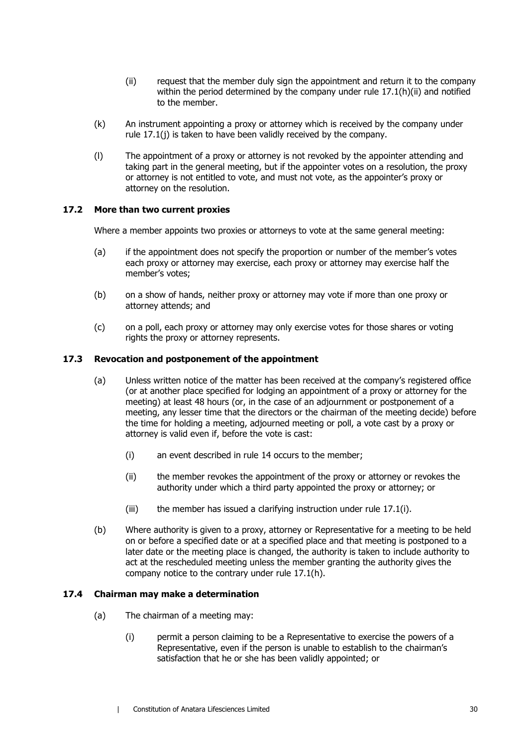- (ii) request that the member duly sign the appointment and return it to the company within the period determined by the company under rule [17.1\(h\)\(ii\)](#page-35-4) and notified to the member.
- (k) An instrument appointing a proxy or attorney which is received by the company under rule 17.1(i) is taken to have been validly received by the company.
- (l) The appointment of a proxy or attorney is not revoked by the appointer attending and taking part in the general meeting, but if the appointer votes on a resolution, the proxy or attorney is not entitled to vote, and must not vote, as the appointer's proxy or attorney on the resolution.

#### **17.2 More than two current proxies**

Where a member appoints two proxies or attorneys to vote at the same general meeting:

- (a) if the appointment does not specify the proportion or number of the member's votes each proxy or attorney may exercise, each proxy or attorney may exercise half the member's votes;
- (b) on a show of hands, neither proxy or attorney may vote if more than one proxy or attorney attends; and
- (c) on a poll, each proxy or attorney may only exercise votes for those shares or voting rights the proxy or attorney represents.

#### **17.3 Revocation and postponement of the appointment**

- (a) Unless written notice of the matter has been received at the company's registered office (or at another place specified for lodging an appointment of a proxy or attorney for the meeting) at least 48 hours (or, in the case of an adjournment or postponement of a meeting, any lesser time that the directors or the chairman of the meeting decide) before the time for holding a meeting, adjourned meeting or poll, a vote cast by a proxy or attorney is valid even if, before the vote is cast:
	- (i) an event described in rule [14](#page-24-0) occurs to the member;
	- (ii) the member revokes the appointment of the proxy or attorney or revokes the authority under which a third party appointed the proxy or attorney; or
	- (iii) the member has issued a clarifying instruction under rule [17.1\(i\).](#page-35-5)
- (b) Where authority is given to a proxy, attorney or Representative for a meeting to be held on or before a specified date or at a specified place and that meeting is postponed to a later date or the meeting place is changed, the authority is taken to include authority to act at the rescheduled meeting unless the member granting the authority gives the company notice to the contrary under rule [17.1\(h\).](#page-35-0)

#### <span id="page-36-0"></span>**17.4 Chairman may make a determination**

- (a) The chairman of a meeting may:
	- (i) permit a person claiming to be a Representative to exercise the powers of a Representative, even if the person is unable to establish to the chairman's satisfaction that he or she has been validly appointed; or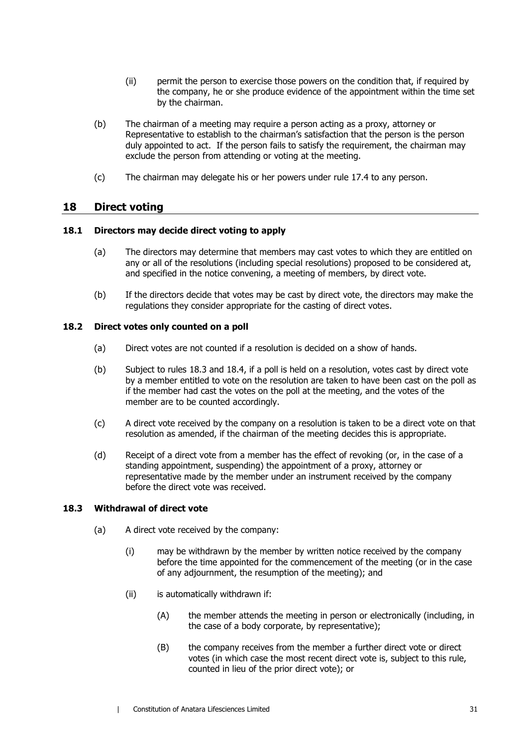- (ii) permit the person to exercise those powers on the condition that, if required by the company, he or she produce evidence of the appointment within the time set by the chairman.
- (b) The chairman of a meeting may require a person acting as a proxy, attorney or Representative to establish to the chairman's satisfaction that the person is the person duly appointed to act. If the person fails to satisfy the requirement, the chairman may exclude the person from attending or voting at the meeting.
- (c) The chairman may delegate his or her powers under rule [17.4](#page-36-0) to any person.

## **18 Direct voting**

#### **18.1 Directors may decide direct voting to apply**

- (a) The directors may determine that members may cast votes to which they are entitled on any or all of the resolutions (including special resolutions) proposed to be considered at, and specified in the notice convening, a meeting of members, by direct vote.
- (b) If the directors decide that votes may be cast by direct vote, the directors may make the regulations they consider appropriate for the casting of direct votes.

#### **18.2 Direct votes only counted on a poll**

- (a) Direct votes are not counted if a resolution is decided on a show of hands.
- (b) Subject to rules [18.3](#page-37-0) and [18.4,](#page-38-1) if a poll is held on a resolution, votes cast by direct vote by a member entitled to vote on the resolution are taken to have been cast on the poll as if the member had cast the votes on the poll at the meeting, and the votes of the member are to be counted accordingly.
- (c) A direct vote received by the company on a resolution is taken to be a direct vote on that resolution as amended, if the chairman of the meeting decides this is appropriate.
- (d) Receipt of a direct vote from a member has the effect of revoking (or, in the case of a standing appointment, suspending) the appointment of a proxy, attorney or representative made by the member under an instrument received by the company before the direct vote was received.

#### <span id="page-37-0"></span>**18.3 Withdrawal of direct vote**

- (a) A direct vote received by the company:
	- (i) may be withdrawn by the member by written notice received by the company before the time appointed for the commencement of the meeting (or in the case of any adjournment, the resumption of the meeting); and
	- (ii) is automatically withdrawn if:
		- (A) the member attends the meeting in person or electronically (including, in the case of a body corporate, by representative);
		- (B) the company receives from the member a further direct vote or direct votes (in which case the most recent direct vote is, subject to this rule, counted in lieu of the prior direct vote); or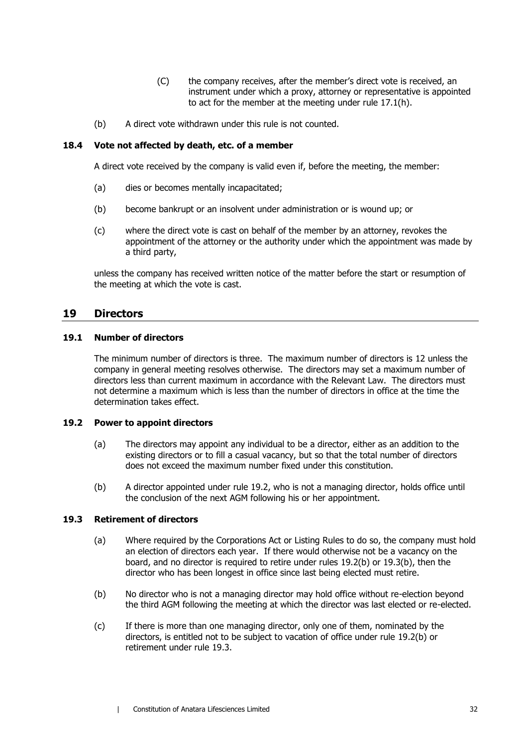- (C) the company receives, after the member's direct vote is received, an instrument under which a proxy, attorney or representative is appointed to act for the member at the meeting under rule [17.1\(h\).](#page-35-0)
- (b) A direct vote withdrawn under this rule is not counted.

#### <span id="page-38-1"></span>**18.4 Vote not affected by death, etc. of a member**

A direct vote received by the company is valid even if, before the meeting, the member:

- (a) dies or becomes mentally incapacitated;
- (b) become bankrupt or an insolvent under administration or is wound up; or
- (c) where the direct vote is cast on behalf of the member by an attorney, revokes the appointment of the attorney or the authority under which the appointment was made by a third party,

unless the company has received written notice of the matter before the start or resumption of the meeting at which the vote is cast.

## **19 Directors**

#### **19.1 Number of directors**

The minimum number of directors is three. The maximum number of directors is 12 unless the company in general meeting resolves otherwise. The directors may set a maximum number of directors less than current maximum in accordance with the Relevant Law. The directors must not determine a maximum which is less than the number of directors in office at the time the determination takes effect.

#### <span id="page-38-2"></span><span id="page-38-0"></span>**19.2 Power to appoint directors**

- (a) The directors may appoint any individual to be a director, either as an addition to the existing directors or to fill a casual vacancy, but so that the total number of directors does not exceed the maximum number fixed under this constitution.
- <span id="page-38-3"></span>(b) A director appointed under rule [19.2,](#page-38-2) who is not a managing director, holds office until the conclusion of the next AGM following his or her appointment.

#### <span id="page-38-5"></span>**19.3 Retirement of directors**

- (a) Where required by the Corporations Act or Listing Rules to do so, the company must hold an election of directors each year. If there would otherwise not be a vacancy on the board, and no director is required to retire under rules [19.2\(b\)](#page-38-3) or [19.3\(b\),](#page-38-4) then the director who has been longest in office since last being elected must retire.
- <span id="page-38-4"></span>(b) No director who is not a managing director may hold office without re-election beyond the third AGM following the meeting at which the director was last elected or re-elected.
- (c) If there is more than one managing director, only one of them, nominated by the directors, is entitled not to be subject to vacation of office under rule [19.2\(b\)](#page-38-3) or retirement under rule [19.3.](#page-38-5)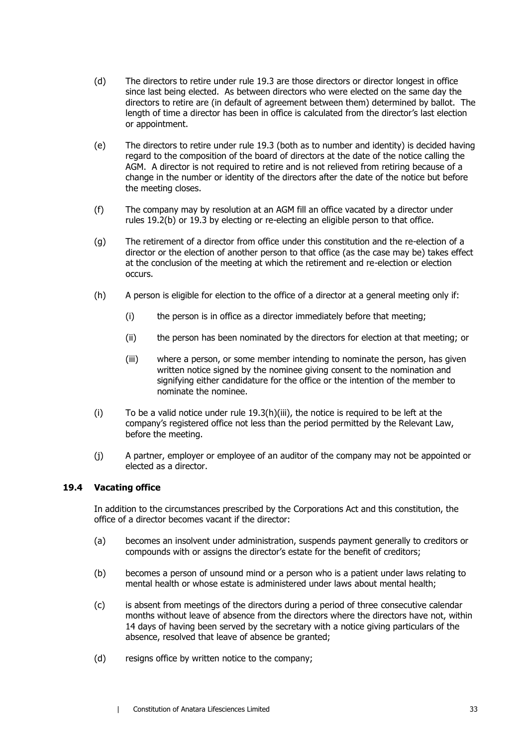- (d) The directors to retire under rule 19.3 are those directors or director longest in office since last being elected. As bet[ween d](#page-38-5)irectors who were elected on the same day the directors to retire are (in default of agreement between them) determined by ballot. The length of time a director has been in office is calculated from the director's last election or appointment.
- (e) The directors to retire under rule [19.3](#page-38-5) (both as to number and identity) is decided having regard to the composition of the board of directors at the date of the notice calling the AGM. A director is not required to retire and is not relieved from retiring because of a change in the number or identity of the directors after the date of the notice but before the meeting closes.
- (f) The company may by resolution at an AGM fill an office vacated by a director under rules [19.2\(b\)](#page-38-3) or [19.3](#page-38-5) by electing or re-electing an eligible person to that office.
- (g) The retirement of a director from office under this constitution and the re-election of a director or the election of another person to that office (as the case may be) takes effect at the conclusion of the meeting at which the retirement and re-election or election occurs.
- <span id="page-39-0"></span>(h) A person is eligible for election to the office of a director at a general meeting only if:
	- (i) the person is in office as a director immediately before that meeting;
	- (ii) the person has been nominated by the directors for election at that meeting; or
	- (iii) where a person, or some member intending to nominate the person, has given written notice signed by the nominee giving consent to the nomination and signifying either candidature for the office or the intention of the member to nominate the nominee.
- (i) To be a valid notice under rule [19.3\(h\)\(iii\),](#page-39-0) the notice is required to be left at the company's registered office not less than the period permitted by the Relevant Law, before the meeting.
- (j) A partner, employer or employee of an auditor of the company may not be appointed or elected as a director.

#### **19.4 Vacating office**

In addition to the circumstances prescribed by the Corporations Act and this constitution, the office of a director becomes vacant if the director:

- (a) becomes an insolvent under administration, suspends payment generally to creditors or compounds with or assigns the director's estate for the benefit of creditors;
- (b) becomes a person of unsound mind or a person who is a patient under laws relating to mental health or whose estate is administered under laws about mental health;
- (c) is absent from meetings of the directors during a period of three consecutive calendar months without leave of absence from the directors where the directors have not, within 14 days of having been served by the secretary with a notice giving particulars of the absence, resolved that leave of absence be granted;
- (d) resigns office by written notice to the company;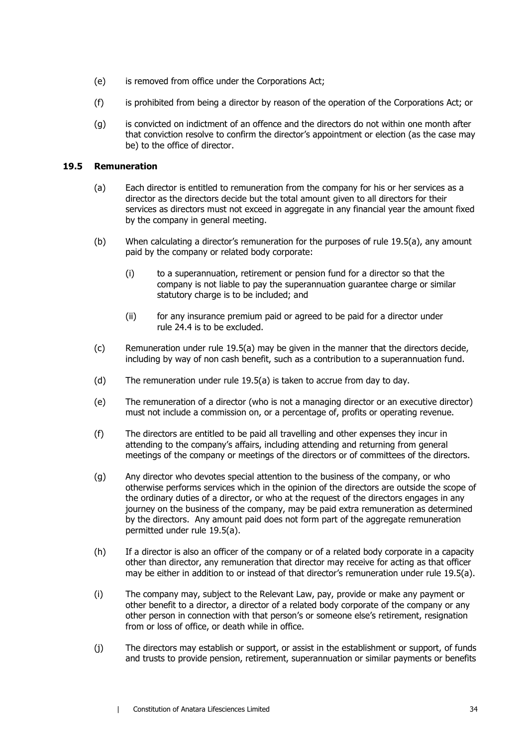- (e) is removed from office under the Corporations Act;
- (f) is prohibited from being a director by reason of the operation of the Corporations Act; or
- (g) is convicted on indictment of an offence and the directors do not within one month after that conviction resolve to confirm the director's appointment or election (as the case may be) to the office of director.

#### <span id="page-40-0"></span>**19.5 Remuneration**

- (a) Each director is entitled to remuneration from the company for his or her services as a director as the directors decide but the total amount given to all directors for their services as directors must not exceed in aggregate in any financial year the amount fixed by the company in general meeting.
- (b) When calculating a director's remuneration for the purposes of rule [19.5\(a\),](#page-40-0) any amount paid by the company or related body corporate:
	- (i) to a superannuation, retirement or pension fund for a director so that the company is not liable to pay the superannuation guarantee charge or similar statutory charge is to be included; and
	- (ii) for any insurance premium paid or agreed to be paid for a director under rule [24.4](#page-49-0) is to be excluded.
- (c) Remuneration under rule [19.5\(a\)](#page-40-0) may be given in the manner that the directors decide, including by way of non cash benefit, such as a contribution to a superannuation fund.
- (d) The remuneration under rule [19.5\(a\)](#page-40-0) is taken to accrue from day to day.
- (e) The remuneration of a director (who is not a managing director or an executive director) must not include a commission on, or a percentage of, profits or operating revenue.
- (f) The directors are entitled to be paid all travelling and other expenses they incur in attending to the company's affairs, including attending and returning from general meetings of the company or meetings of the directors or of committees of the directors.
- <span id="page-40-1"></span>(g) Any director who devotes special attention to the business of the company, or who otherwise performs services which in the opinion of the directors are outside the scope of the ordinary duties of a director, or who at the request of the directors engages in any journey on the business of the company, may be paid extra remuneration as determined by the directors. Any amount paid does not form part of the aggregate remuneration permitted under rule [19.5\(a\).](#page-40-0)
- (h) If a director is also an officer of the company or of a related body corporate in a capacity other than director, any remuneration that director may receive for acting as that officer may be either in addition to or instead of that director's remuneration under rule [19.5\(a\).](#page-40-0)
- (i) The company may, subject to the Relevant Law, pay, provide or make any payment or other benefit to a director, a director of a related body corporate of the company or any other person in connection with that person's or someone else's retirement, resignation from or loss of office, or death while in office.
- (j) The directors may establish or support, or assist in the establishment or support, of funds and trusts to provide pension, retirement, superannuation or similar payments or benefits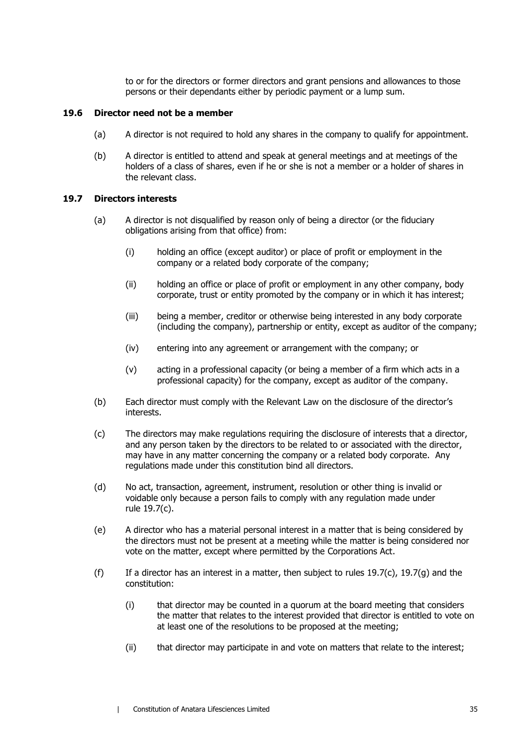to or for the directors or former directors and grant pensions and allowances to those persons or their dependants either by periodic payment or a lump sum.

#### **19.6 Director need not be a member**

- (a) A director is not required to hold any shares in the company to qualify for appointment.
- (b) A director is entitled to attend and speak at general meetings and at meetings of the holders of a class of shares, even if he or she is not a member or a holder of shares in the relevant class.

#### <span id="page-41-2"></span>**19.7 Directors interests**

- (a) A director is not disqualified by reason only of being a director (or the fiduciary obligations arising from that office) from:
	- (i) holding an office (except auditor) or place of profit or employment in the company or a related body corporate of the company;
	- (ii) holding an office or place of profit or employment in any other company, body corporate, trust or entity promoted by the company or in which it has interest;
	- (iii) being a member, creditor or otherwise being interested in any body corporate (including the company), partnership or entity, except as auditor of the company;
	- (iv) entering into any agreement or arrangement with the company; or
	- (v) acting in a professional capacity (or being a member of a firm which acts in a professional capacity) for the company, except as auditor of the company.
- <span id="page-41-1"></span>(b) Each director must comply with the Relevant Law on the disclosure of the director's interests.
- <span id="page-41-0"></span>(c) The directors may make regulations requiring the disclosure of interests that a director, and any person taken by the directors to be related to or associated with the director, may have in any matter concerning the company or a related body corporate. Any regulations made under this constitution bind all directors.
- (d) No act, transaction, agreement, instrument, resolution or other thing is invalid or voidable only because a person fails to comply with any regulation made under rule [19.7\(c\).](#page-41-0)
- (e) A director who has a material personal interest in a matter that is being considered by the directors must not be present at a meeting while the matter is being considered nor vote on the matter, except where permitted by the Corporations Act.
- (f) If a director has an interest in a matter, then subject to rules [19.7\(c\),](#page-41-0) [19.7\(g\)](#page-42-0) and the constitution:
	- (i) that director may be counted in a quorum at the board meeting that considers the matter that relates to the interest provided that director is entitled to vote on at least one of the resolutions to be proposed at the meeting;
	- (ii) that director may participate in and vote on matters that relate to the interest;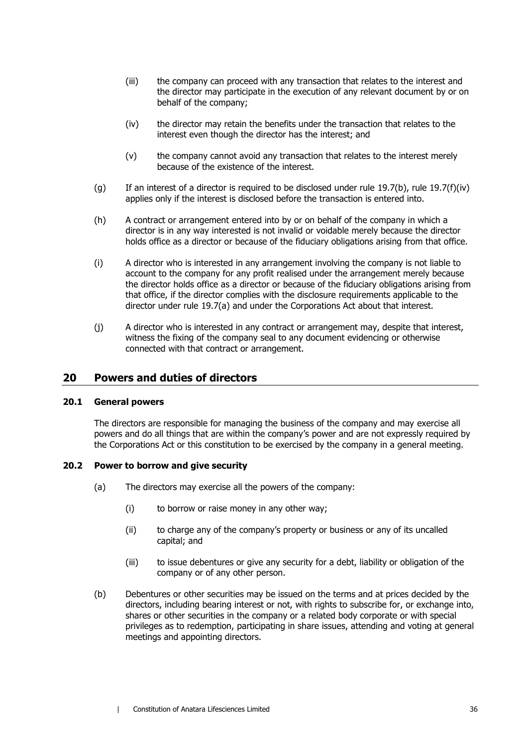- (iii) the company can proceed with any transaction that relates to the interest and the director may participate in the execution of any relevant document by or on behalf of the company;
- <span id="page-42-1"></span>(iv) the director may retain the benefits under the transaction that relates to the interest even though the director has the interest; and
- (v) the company cannot avoid any transaction that relates to the interest merely because of the existence of the interest.
- <span id="page-42-0"></span>(g) If an interest of a director is required to be disclosed under rule [19.7\(b\),](#page-41-1) rule [19.7\(f\)\(iv\)](#page-42-1) applies only if the interest is disclosed before the transaction is entered into.
- (h) A contract or arrangement entered into by or on behalf of the company in which a director is in any way interested is not invalid or voidable merely because the director holds office as a director or because of the fiduciary obligations arising from that office.
- (i) A director who is interested in any arrangement involving the company is not liable to account to the company for any profit realised under the arrangement merely because the director holds office as a director or because of the fiduciary obligations arising from that office, if the director complies with the disclosure requirements applicable to the director under rule [19.7\(a\)](#page-41-2) and under the Corporations Act about that interest.
- (j) A director who is interested in any contract or arrangement may, despite that interest, witness the fixing of the company seal to any document evidencing or otherwise connected with that contract or arrangement.

## **20 Powers and duties of directors**

#### **20.1 General powers**

The directors are responsible for managing the business of the company and may exercise all powers and do all things that are within the company's power and are not expressly required by the Corporations Act or this constitution to be exercised by the company in a general meeting.

#### **20.2 Power to borrow and give security**

- (a) The directors may exercise all the powers of the company:
	- (i) to borrow or raise money in any other way;
	- (ii) to charge any of the company's property or business or any of its uncalled capital; and
	- (iii) to issue debentures or give any security for a debt, liability or obligation of the company or of any other person.
- (b) Debentures or other securities may be issued on the terms and at prices decided by the directors, including bearing interest or not, with rights to subscribe for, or exchange into, shares or other securities in the company or a related body corporate or with special privileges as to redemption, participating in share issues, attending and voting at general meetings and appointing directors.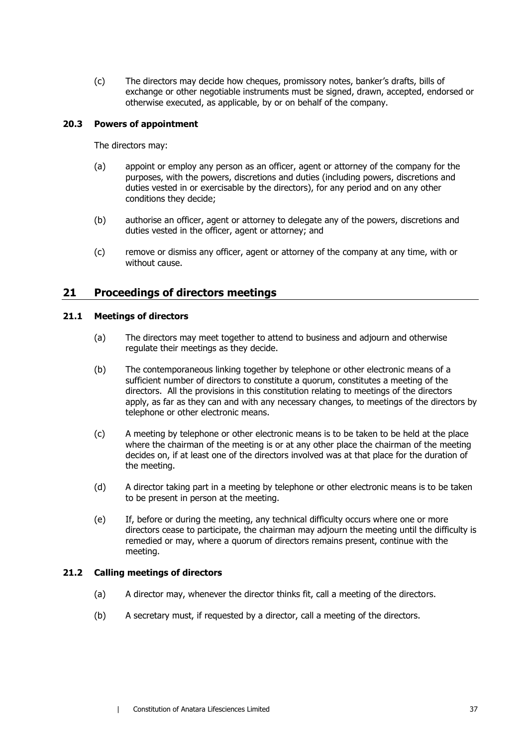(c) The directors may decide how cheques, promissory notes, banker's drafts, bills of exchange or other negotiable instruments must be signed, drawn, accepted, endorsed or otherwise executed, as applicable, by or on behalf of the company.

#### **20.3 Powers of appointment**

The directors may:

- (a) appoint or employ any person as an officer, agent or attorney of the company for the purposes, with the powers, discretions and duties (including powers, discretions and duties vested in or exercisable by the directors), for any period and on any other conditions they decide;
- (b) authorise an officer, agent or attorney to delegate any of the powers, discretions and duties vested in the officer, agent or attorney; and
- (c) remove or dismiss any officer, agent or attorney of the company at any time, with or without cause.

## **21 Proceedings of directors meetings**

#### **21.1 Meetings of directors**

- (a) The directors may meet together to attend to business and adjourn and otherwise regulate their meetings as they decide.
- (b) The contemporaneous linking together by telephone or other electronic means of a sufficient number of directors to constitute a quorum, constitutes a meeting of the directors. All the provisions in this constitution relating to meetings of the directors apply, as far as they can and with any necessary changes, to meetings of the directors by telephone or other electronic means.
- (c) A meeting by telephone or other electronic means is to be taken to be held at the place where the chairman of the meeting is or at any other place the chairman of the meeting decides on, if at least one of the directors involved was at that place for the duration of the meeting.
- (d) A director taking part in a meeting by telephone or other electronic means is to be taken to be present in person at the meeting.
- (e) If, before or during the meeting, any technical difficulty occurs where one or more directors cease to participate, the chairman may adjourn the meeting until the difficulty is remedied or may, where a quorum of directors remains present, continue with the meeting.

#### **21.2 Calling meetings of directors**

- (a) A director may, whenever the director thinks fit, call a meeting of the directors.
- (b) A secretary must, if requested by a director, call a meeting of the directors.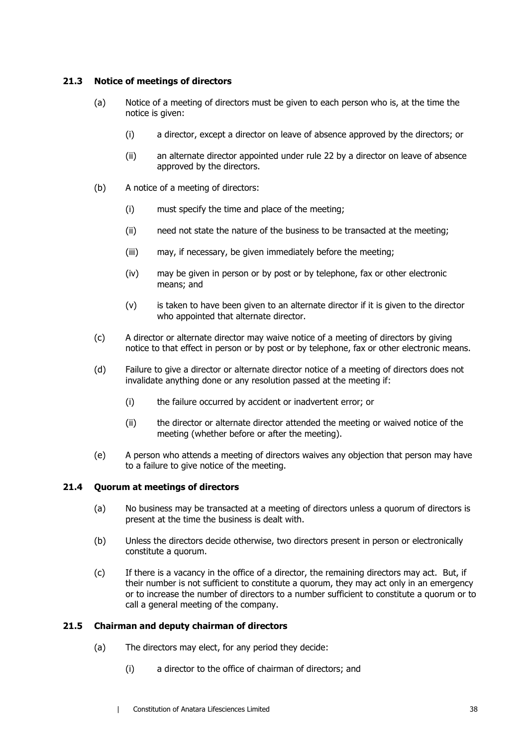#### **21.3 Notice of meetings of directors**

- (a) Notice of a meeting of directors must be given to each person who is, at the time the notice is given:
	- (i) a director, except a director on leave of absence approved by the directors; or
	- (ii) an alternate director appointed under rule [22](#page-46-0) by a director on leave of absence approved by the directors.
- (b) A notice of a meeting of directors:
	- (i) must specify the time and place of the meeting;
	- (ii) need not state the nature of the business to be transacted at the meeting;
	- (iii) may, if necessary, be given immediately before the meeting;
	- (iv) may be given in person or by post or by telephone, fax or other electronic means; and
	- (v) is taken to have been given to an alternate director if it is given to the director who appointed that alternate director.
- (c) A director or alternate director may waive notice of a meeting of directors by giving notice to that effect in person or by post or by telephone, fax or other electronic means.
- (d) Failure to give a director or alternate director notice of a meeting of directors does not invalidate anything done or any resolution passed at the meeting if:
	- (i) the failure occurred by accident or inadvertent error; or
	- (ii) the director or alternate director attended the meeting or waived notice of the meeting (whether before or after the meeting).
- (e) A person who attends a meeting of directors waives any objection that person may have to a failure to give notice of the meeting.

#### **21.4 Quorum at meetings of directors**

- (a) No business may be transacted at a meeting of directors unless a quorum of directors is present at the time the business is dealt with.
- (b) Unless the directors decide otherwise, two directors present in person or electronically constitute a quorum.
- (c) If there is a vacancy in the office of a director, the remaining directors may act. But, if their number is not sufficient to constitute a quorum, they may act only in an emergency or to increase the number of directors to a number sufficient to constitute a quorum or to call a general meeting of the company.

#### **21.5 Chairman and deputy chairman of directors**

- (a) The directors may elect, for any period they decide:
	- (i) a director to the office of chairman of directors; and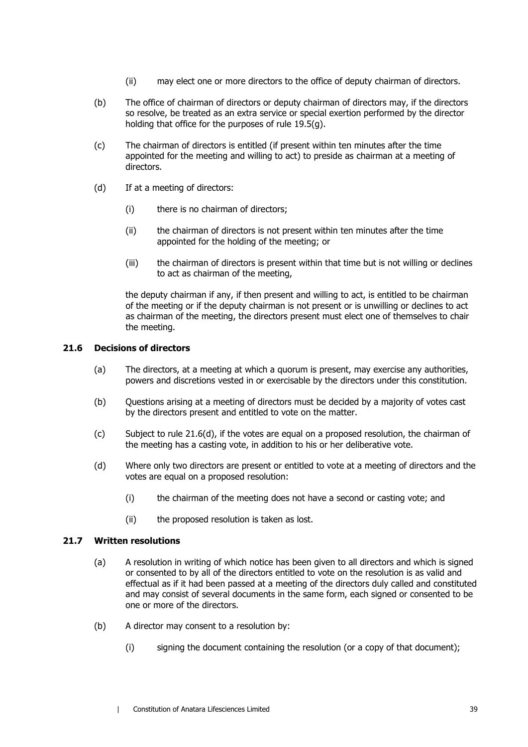- (ii) may elect one or more directors to the office of deputy chairman of directors.
- (b) The office of chairman of directors or deputy chairman of directors may, if the directors so resolve, be treated as an extra service or special exertion performed by the director holding that office for the purposes of rule [19.5\(g\).](#page-40-1)
- (c) The chairman of directors is entitled (if present within ten minutes after the time appointed for the meeting and willing to act) to preside as chairman at a meeting of directors.
- (d) If at a meeting of directors:
	- (i) there is no chairman of directors;
	- (ii) the chairman of directors is not present within ten minutes after the time appointed for the holding of the meeting; or
	- (iii) the chairman of directors is present within that time but is not willing or declines to act as chairman of the meeting,

the deputy chairman if any, if then present and willing to act, is entitled to be chairman of the meeting or if the deputy chairman is not present or is unwilling or declines to act as chairman of the meeting, the directors present must elect one of themselves to chair the meeting.

#### **21.6 Decisions of directors**

- (a) The directors, at a meeting at which a quorum is present, may exercise any authorities, powers and discretions vested in or exercisable by the directors under this constitution.
- (b) Questions arising at a meeting of directors must be decided by a majority of votes cast by the directors present and entitled to vote on the matter.
- (c) Subject to rule [21.6\(d\),](#page-45-0) if the votes are equal on a proposed resolution, the chairman of the meeting has a casting vote, in addition to his or her deliberative vote.
- <span id="page-45-0"></span>(d) Where only two directors are present or entitled to vote at a meeting of directors and the votes are equal on a proposed resolution:
	- (i) the chairman of the meeting does not have a second or casting vote; and
	- (ii) the proposed resolution is taken as lost.

#### **21.7 Written resolutions**

- (a) A resolution in writing of which notice has been given to all directors and which is signed or consented to by all of the directors entitled to vote on the resolution is as valid and effectual as if it had been passed at a meeting of the directors duly called and constituted and may consist of several documents in the same form, each signed or consented to be one or more of the directors.
- (b) A director may consent to a resolution by:
	- (i) signing the document containing the resolution (or a copy of that document);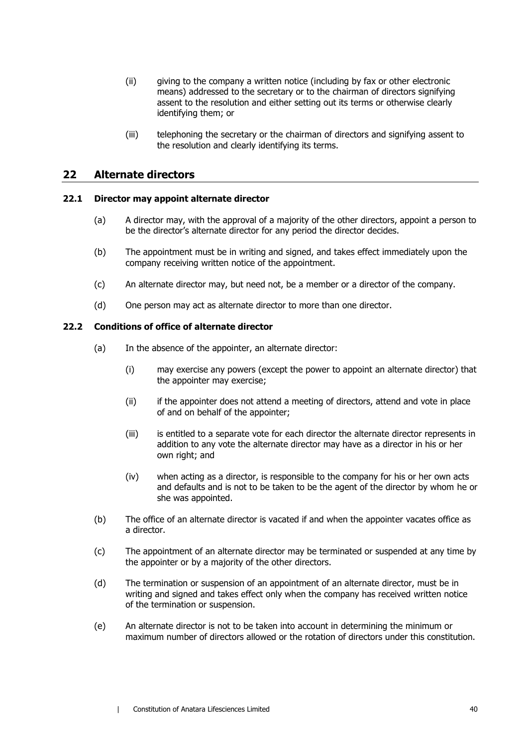- (ii) giving to the company a written notice (including by fax or other electronic means) addressed to the secretary or to the chairman of directors signifying assent to the resolution and either setting out its terms or otherwise clearly identifying them; or
- (iii) telephoning the secretary or the chairman of directors and signifying assent to the resolution and clearly identifying its terms.

## <span id="page-46-0"></span>**22 Alternate directors**

#### **22.1 Director may appoint alternate director**

- (a) A director may, with the approval of a majority of the other directors, appoint a person to be the director's alternate director for any period the director decides.
- (b) The appointment must be in writing and signed, and takes effect immediately upon the company receiving written notice of the appointment.
- (c) An alternate director may, but need not, be a member or a director of the company.
- (d) One person may act as alternate director to more than one director.

#### **22.2 Conditions of office of alternate director**

- (a) In the absence of the appointer, an alternate director:
	- (i) may exercise any powers (except the power to appoint an alternate director) that the appointer may exercise;
	- (ii) if the appointer does not attend a meeting of directors, attend and vote in place of and on behalf of the appointer;
	- (iii) is entitled to a separate vote for each director the alternate director represents in addition to any vote the alternate director may have as a director in his or her own right; and
	- (iv) when acting as a director, is responsible to the company for his or her own acts and defaults and is not to be taken to be the agent of the director by whom he or she was appointed.
- (b) The office of an alternate director is vacated if and when the appointer vacates office as a director.
- (c) The appointment of an alternate director may be terminated or suspended at any time by the appointer or by a majority of the other directors.
- (d) The termination or suspension of an appointment of an alternate director, must be in writing and signed and takes effect only when the company has received written notice of the termination or suspension.
- (e) An alternate director is not to be taken into account in determining the minimum or maximum number of directors allowed or the rotation of directors under this constitution.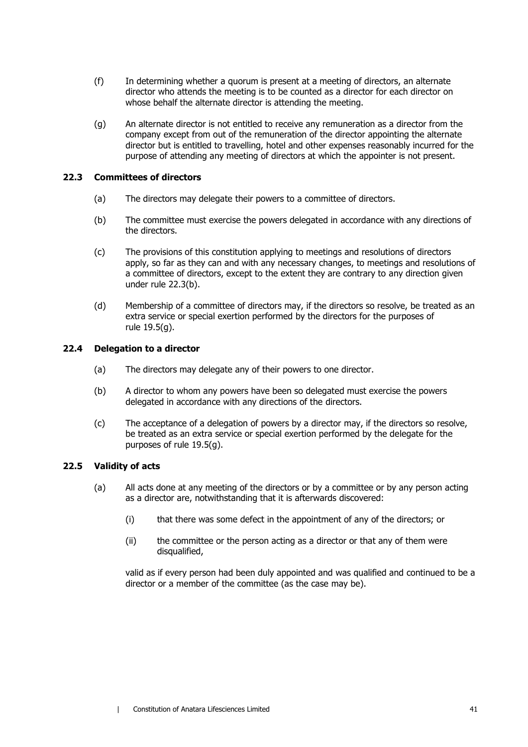- (f) In determining whether a quorum is present at a meeting of directors, an alternate director who attends the meeting is to be counted as a director for each director on whose behalf the alternate director is attending the meeting.
- (g) An alternate director is not entitled to receive any remuneration as a director from the company except from out of the remuneration of the director appointing the alternate director but is entitled to travelling, hotel and other expenses reasonably incurred for the purpose of attending any meeting of directors at which the appointer is not present.

#### <span id="page-47-0"></span>**22.3 Committees of directors**

- (a) The directors may delegate their powers to a committee of directors.
- (b) The committee must exercise the powers delegated in accordance with any directions of the directors.
- (c) The provisions of this constitution applying to meetings and resolutions of directors apply, so far as they can and with any necessary changes, to meetings and resolutions of a committee of directors, except to the extent they are contrary to any direction given under rule [22.3\(b\).](#page-47-0)
- (d) Membership of a committee of directors may, if the directors so resolve, be treated as an extra service or special exertion performed by the directors for the purposes of rule [19.5\(g\).](#page-40-1)

#### **22.4 Delegation to a director**

- (a) The directors may delegate any of their powers to one director.
- (b) A director to whom any powers have been so delegated must exercise the powers delegated in accordance with any directions of the directors.
- (c) The acceptance of a delegation of powers by a director may, if the directors so resolve, be treated as an extra service or special exertion performed by the delegate for the purposes of rule [19.5\(g\).](#page-40-1)

#### **22.5 Validity of acts**

- (a) All acts done at any meeting of the directors or by a committee or by any person acting as a director are, notwithstanding that it is afterwards discovered:
	- (i) that there was some defect in the appointment of any of the directors; or
	- (ii) the committee or the person acting as a director or that any of them were disqualified,

valid as if every person had been duly appointed and was qualified and continued to be a director or a member of the committee (as the case may be).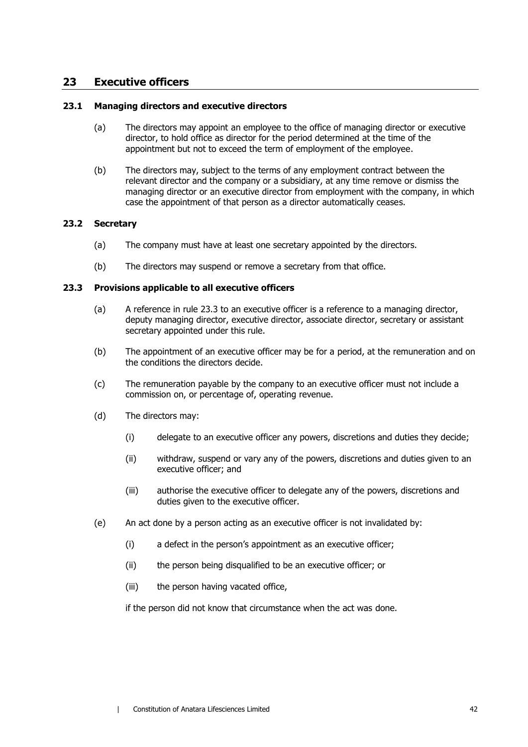## **23 Executive officers**

#### **23.1 Managing directors and executive directors**

- (a) The directors may appoint an employee to the office of managing director or executive director, to hold office as director for the period determined at the time of the appointment but not to exceed the term of employment of the employee.
- (b) The directors may, subject to the terms of any employment contract between the relevant director and the company or a subsidiary, at any time remove or dismiss the managing director or an executive director from employment with the company, in which case the appointment of that person as a director automatically ceases.

#### **23.2 Secretary**

- (a) The company must have at least one secretary appointed by the directors.
- (b) The directors may suspend or remove a secretary from that office.

#### <span id="page-48-1"></span><span id="page-48-0"></span>**23.3 Provisions applicable to all executive officers**

- (a) A reference in rule [23.3](#page-48-0) to an executive officer is a reference to a managing director, deputy managing director, executive director, associate director, secretary or assistant secretary appointed under this rule.
- (b) The appointment of an executive officer may be for a period, at the remuneration and on the conditions the directors decide.
- (c) The remuneration payable by the company to an executive officer must not include a commission on, or percentage of, operating revenue.
- (d) The directors may:
	- (i) delegate to an executive officer any powers, discretions and duties they decide;
	- (ii) withdraw, suspend or vary any of the powers, discretions and duties given to an executive officer; and
	- (iii) authorise the executive officer to delegate any of the powers, discretions and duties given to the executive officer.
- (e) An act done by a person acting as an executive officer is not invalidated by:
	- (i) a defect in the person's appointment as an executive officer;
	- (ii) the person being disqualified to be an executive officer; or
	- (iii) the person having vacated office,

if the person did not know that circumstance when the act was done.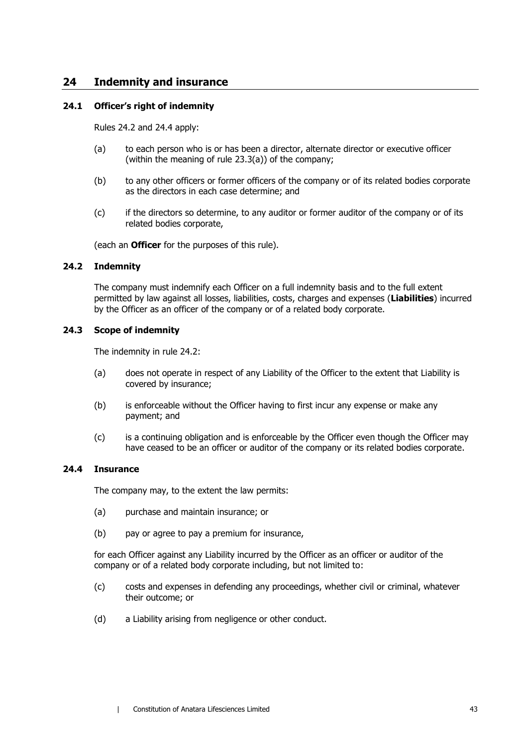## **24 Indemnity and insurance**

#### **24.1 Officer's right of indemnity**

Rules [24.2](#page-49-1) and [24.4](#page-49-0) apply:

- (a) to each person who is or has been a director, alternate director or executive officer (within the meaning of rule [23.3\(a\)\)](#page-48-1) of the company;
- (b) to any other officers or former officers of the company or of its related bodies corporate as the directors in each case determine; and
- (c) if the directors so determine, to any auditor or former auditor of the company or of its related bodies corporate,

(each an **Officer** for the purposes of this rule).

#### <span id="page-49-1"></span>**24.2 Indemnity**

The company must indemnify each Officer on a full indemnity basis and to the full extent permitted by law against all losses, liabilities, costs, charges and expenses (**Liabilities**) incurred by the Officer as an officer of the company or of a related body corporate.

#### **24.3 Scope of indemnity**

The indemnity in rule [24.2:](#page-49-1)

- (a) does not operate in respect of any Liability of the Officer to the extent that Liability is covered by insurance;
- (b) is enforceable without the Officer having to first incur any expense or make any payment; and
- (c) is a continuing obligation and is enforceable by the Officer even though the Officer may have ceased to be an officer or auditor of the company or its related bodies corporate.

#### <span id="page-49-0"></span>**24.4 Insurance**

The company may, to the extent the law permits:

- (a) purchase and maintain insurance; or
- (b) pay or agree to pay a premium for insurance,

for each Officer against any Liability incurred by the Officer as an officer or auditor of the company or of a related body corporate including, but not limited to:

- (c) costs and expenses in defending any proceedings, whether civil or criminal, whatever their outcome; or
- (d) a Liability arising from negligence or other conduct.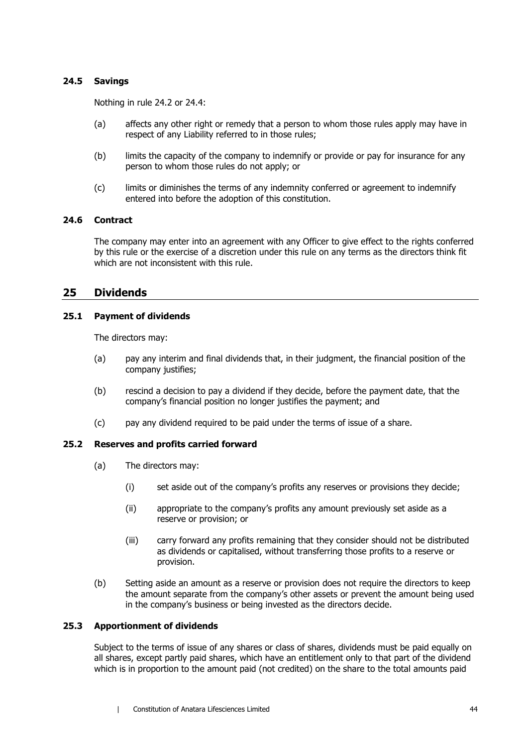#### **24.5 Savings**

Nothing in rule [24.2](#page-49-1) or [24.4:](#page-49-0)

- (a) affects any other right or remedy that a person to whom those rules apply may have in respect of any Liability referred to in those rules;
- (b) limits the capacity of the company to indemnify or provide or pay for insurance for any person to whom those rules do not apply; or
- (c) limits or diminishes the terms of any indemnity conferred or agreement to indemnify entered into before the adoption of this constitution.

#### **24.6 Contract**

The company may enter into an agreement with any Officer to give effect to the rights conferred by this rule or the exercise of a discretion under this rule on any terms as the directors think fit which are not inconsistent with this rule.

#### **25 Dividends**

#### **25.1 Payment of dividends**

The directors may:

- (a) pay any interim and final dividends that, in their judgment, the financial position of the company justifies;
- (b) rescind a decision to pay a dividend if they decide, before the payment date, that the company's financial position no longer justifies the payment; and
- (c) pay any dividend required to be paid under the terms of issue of a share.

#### **25.2 Reserves and profits carried forward**

- (a) The directors may:
	- (i) set aside out of the company's profits any reserves or provisions they decide;
	- (ii) appropriate to the company's profits any amount previously set aside as a reserve or provision; or
	- (iii) carry forward any profits remaining that they consider should not be distributed as dividends or capitalised, without transferring those profits to a reserve or provision.
- (b) Setting aside an amount as a reserve or provision does not require the directors to keep the amount separate from the company's other assets or prevent the amount being used in the company's business or being invested as the directors decide.

#### **25.3 Apportionment of dividends**

Subject to the terms of issue of any shares or class of shares, dividends must be paid equally on all shares, except partly paid shares, which have an entitlement only to that part of the dividend which is in proportion to the amount paid (not credited) on the share to the total amounts paid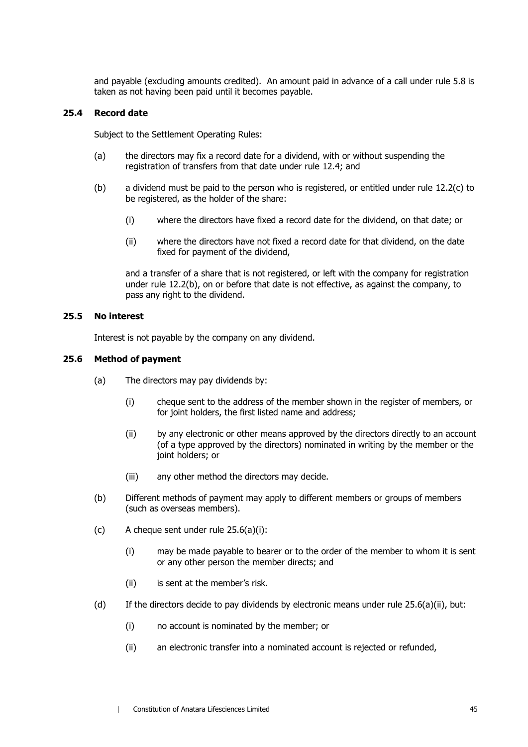and payable (excluding amounts credited). An amount paid in advance of a call under rule [5.8](#page-15-0) is taken as not having been paid until it becomes payable.

#### **25.4 Record date**

Subject to the Settlement Operating Rules:

- (a) the directors may fix a record date for a dividend, with or without suspending the registration of transfers from that date under rule [12.4;](#page-22-2) and
- (b) a dividend must be paid to the person who is registered, or entitled under rule [12.2\(c\)](#page-21-3) to be registered, as the holder of the share:
	- (i) where the directors have fixed a record date for the dividend, on that date; or
	- (ii) where the directors have not fixed a record date for that dividend, on the date fixed for payment of the dividend,

and a transfer of a share that is not registered, or left with the company for registration under rule [12.2\(b\),](#page-21-4) on or before that date is not effective, as against the company, to pass any right to the dividend.

#### **25.5 No interest**

Interest is not payable by the company on any dividend.

#### <span id="page-51-0"></span>**25.6 Method of payment**

- <span id="page-51-1"></span>(a) The directors may pay dividends by:
	- (i) cheque sent to the address of the member shown in the register of members, or for joint holders, the first listed name and address;
	- (ii) by any electronic or other means approved by the directors directly to an account (of a type approved by the directors) nominated in writing by the member or the joint holders; or
	- (iii) any other method the directors may decide.
- (b) Different methods of payment may apply to different members or groups of members (such as overseas members).
- (c) A cheque sent under rule  $25.6(a)(i)$ :
	- (i) may be made payable to bearer or to the order of the member to whom it is sent or any other person the member directs; and
	- (ii) is sent at the member's risk.
- <span id="page-51-2"></span>(d) If the directors decide to pay dividends by electronic means under rule  $25.6(a)(ii)$ , but:
	- (i) no account is nominated by the member; or
	- (ii) an electronic transfer into a nominated account is rejected or refunded,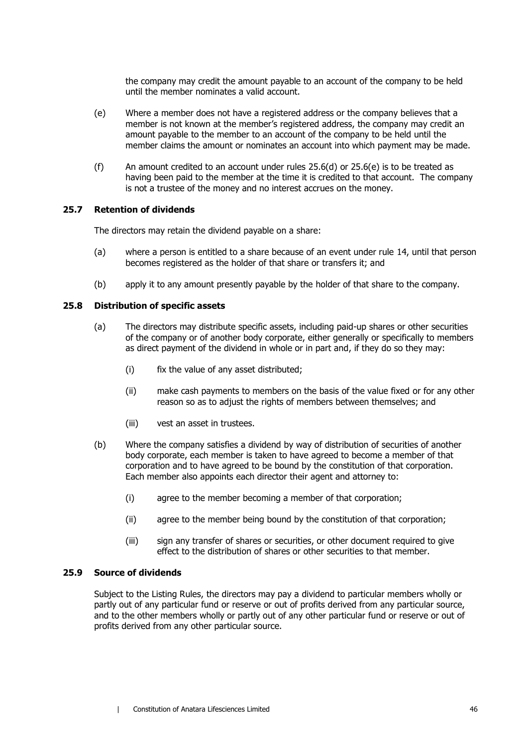the company may credit the amount payable to an account of the company to be held until the member nominates a valid account.

- <span id="page-52-0"></span>(e) Where a member does not have a registered address or the company believes that a member is not known at the member's registered address, the company may credit an amount payable to the member to an account of the company to be held until the member claims the amount or nominates an account into which payment may be made.
- (f) An amount credited to an account under rules  $25.6(d)$  or  $25.6(e)$  is to be treated as having been paid to the member at the time it is credited to that account. The company is not a trustee of the money and no interest accrues on the money.

#### **25.7 Retention of dividends**

The directors may retain the dividend payable on a share:

- (a) where a person is entitled to a share because of an event under rule [14,](#page-24-0) until that person becomes registered as the holder of that share or transfers it; and
- (b) apply it to any amount presently payable by the holder of that share to the company.

#### **25.8 Distribution of specific assets**

- (a) The directors may distribute specific assets, including paid-up shares or other securities of the company or of another body corporate, either generally or specifically to members as direct payment of the dividend in whole or in part and, if they do so they may:
	- (i) fix the value of any asset distributed;
	- (ii) make cash payments to members on the basis of the value fixed or for any other reason so as to adjust the rights of members between themselves; and
	- (iii) vest an asset in trustees.
- (b) Where the company satisfies a dividend by way of distribution of securities of another body corporate, each member is taken to have agreed to become a member of that corporation and to have agreed to be bound by the constitution of that corporation. Each member also appoints each director their agent and attorney to:
	- (i) agree to the member becoming a member of that corporation;
	- (ii) agree to the member being bound by the constitution of that corporation;
	- (iii) sign any transfer of shares or securities, or other document required to give effect to the distribution of shares or other securities to that member.

#### **25.9 Source of dividends**

Subject to the Listing Rules, the directors may pay a dividend to particular members wholly or partly out of any particular fund or reserve or out of profits derived from any particular source, and to the other members wholly or partly out of any other particular fund or reserve or out of profits derived from any other particular source.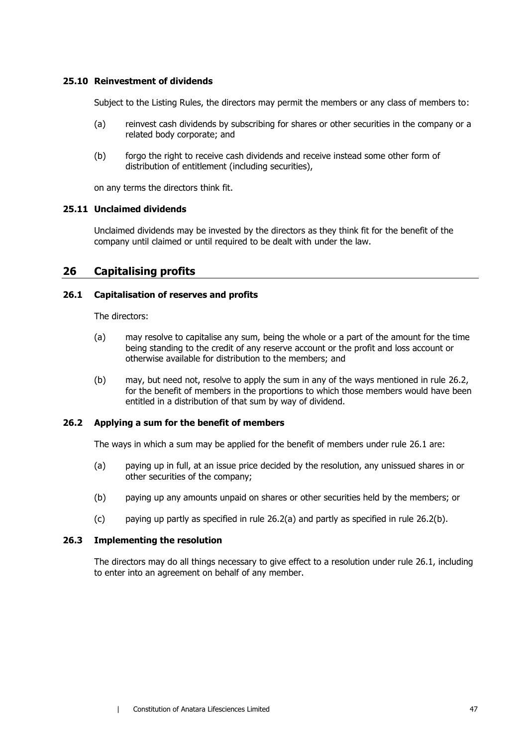#### **25.10 Reinvestment of dividends**

Subject to the Listing Rules, the directors may permit the members or any class of members to:

- (a) reinvest cash dividends by subscribing for shares or other securities in the company or a related body corporate; and
- (b) forgo the right to receive cash dividends and receive instead some other form of distribution of entitlement (including securities),

on any terms the directors think fit.

#### **25.11 Unclaimed dividends**

Unclaimed dividends may be invested by the directors as they think fit for the benefit of the company until claimed or until required to be dealt with under the law.

## <span id="page-53-4"></span>**26 Capitalising profits**

#### <span id="page-53-1"></span>**26.1 Capitalisation of reserves and profits**

The directors:

- (a) may resolve to capitalise any sum, being the whole or a part of the amount for the time being standing to the credit of any reserve account or the profit and loss account or otherwise available for distribution to the members; and
- (b) may, but need not, resolve to apply the sum in any of the ways mentioned in rule [26.2,](#page-53-0) for the benefit of members in the proportions to which those members would have been entitled in a distribution of that sum by way of dividend.

#### <span id="page-53-2"></span><span id="page-53-0"></span>**26.2 Applying a sum for the benefit of members**

The ways in which a sum may be applied for the benefit of members under rule [26.1](#page-53-1) are:

- (a) paying up in full, at an issue price decided by the resolution, any unissued shares in or other securities of the company;
- <span id="page-53-3"></span>(b) paying up any amounts unpaid on shares or other securities held by the members; or
- (c) paying up partly as specified in rule [26.2\(a\)](#page-53-2) and partly as specified in rule [26.2\(b\).](#page-53-3)

#### **26.3 Implementing the resolution**

The directors may do all things necessary to give effect to a resolution under rule [26.1,](#page-53-1) including to enter into an agreement on behalf of any member.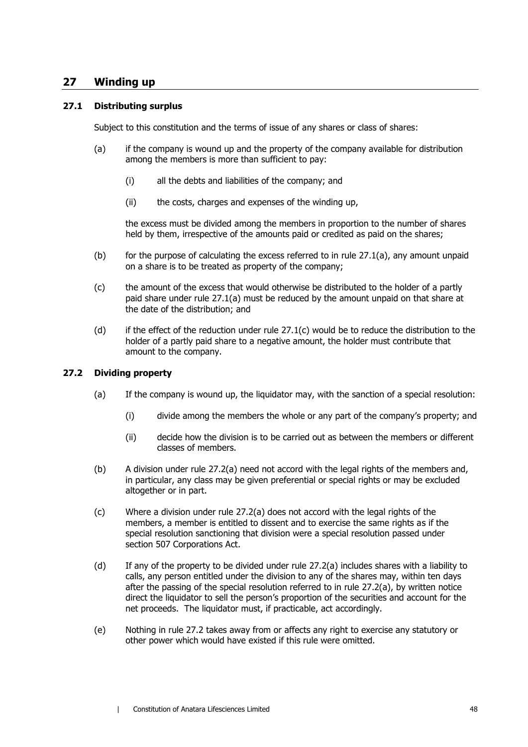## **27 Winding up**

#### <span id="page-54-0"></span>**27.1 Distributing surplus**

Subject to this constitution and the terms of issue of any shares or class of shares:

- (a) if the company is wound up and the property of the company available for distribution among the members is more than sufficient to pay:
	- (i) all the debts and liabilities of the company; and
	- (ii) the costs, charges and expenses of the winding up,

the excess must be divided among the members in proportion to the number of shares held by them, irrespective of the amounts paid or credited as paid on the shares;

- (b) for the purpose of calculating the excess referred to in rule  $(27.1(a)$ , any amount unpaid on a share is to be treated as property of the company;
- <span id="page-54-1"></span>(c) the amount of the excess that would otherwise be distributed to the holder of a partly paid share under rule [27.1\(a\)](#page-54-0) must be reduced by the amount unpaid on that share at the date of the distribution; and
- (d) if the effect of the reduction under rule  $27.1(c)$  would be to reduce the distribution to the holder of a partly paid share to a negative amount, the holder must contribute that amount to the company.

#### <span id="page-54-3"></span><span id="page-54-2"></span>**27.2 Dividing property**

- (a) If the company is wound up, the liquidator may, with the sanction of a special resolution:
	- (i) divide among the members the whole or any part of the company's property; and
	- (ii) decide how the division is to be carried out as between the members or different classes of members.
- (b) A division under rule [27.2\(a\)](#page-54-2) need not accord with the legal rights of the members and, in particular, any class may be given preferential or special rights or may be excluded altogether or in part.
- (c) Where a division under rule [27.2\(a\)](#page-54-2) does not accord with the legal rights of the members, a member is entitled to dissent and to exercise the same rights as if the special resolution sanctioning that division were a special resolution passed under section 507 Corporations Act.
- (d) If any of the property to be divided under rule [27.2\(a\)](#page-54-2) includes shares with a liability to calls, any person entitled under the division to any of the shares may, within ten days after the passing of the special resolution referred to in rule [27.2\(a\),](#page-54-2) by written notice direct the liquidator to sell the person's proportion of the securities and account for the net proceeds. The liquidator must, if practicable, act accordingly.
- (e) Nothing in rule [27.2](#page-54-3) takes away from or affects any right to exercise any statutory or other power which would have existed if this rule were omitted.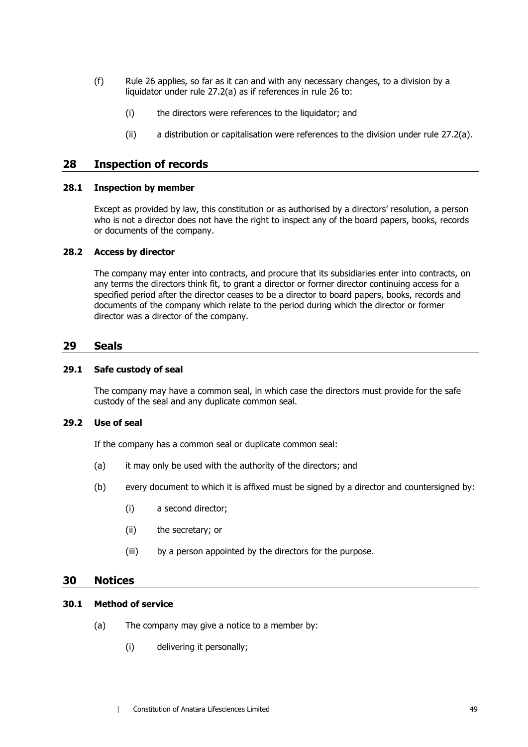- (f) Rule 26 applies, so far as it can and with any necessary changes, to a division by a liqui[dato](#page-53-4)r under rule [27.2\(a\)](#page-54-2) as if references in rule [26](#page-53-4) to:
	- (i) the directors were references to the liquidator; and
	- (ii) a distribution or capitalisation were references to the division under rule [27.2\(a\).](#page-54-2)

## **28 Inspection of records**

#### **28.1 Inspection by member**

Except as provided by law, this constitution or as authorised by a directors' resolution, a person who is not a director does not have the right to inspect any of the board papers, books, records or documents of the company.

#### **28.2 Access by director**

The company may enter into contracts, and procure that its subsidiaries enter into contracts, on any terms the directors think fit, to grant a director or former director continuing access for a specified period after the director ceases to be a director to board papers, books, records and documents of the company which relate to the period during which the director or former director was a director of the company.

#### **29 Seals**

#### **29.1 Safe custody of seal**

The company may have a common seal, in which case the directors must provide for the safe custody of the seal and any duplicate common seal.

### **29.2 Use of seal**

If the company has a common seal or duplicate common seal:

- (a) it may only be used with the authority of the directors; and
- (b) every document to which it is affixed must be signed by a director and countersigned by:
	- (i) a second director;
	- (ii) the secretary; or
	- (iii) by a person appointed by the directors for the purpose.

### **30 Notices**

## <span id="page-55-0"></span>**30.1 Method of service**

- (a) The company may give a notice to a member by:
	- (i) delivering it personally;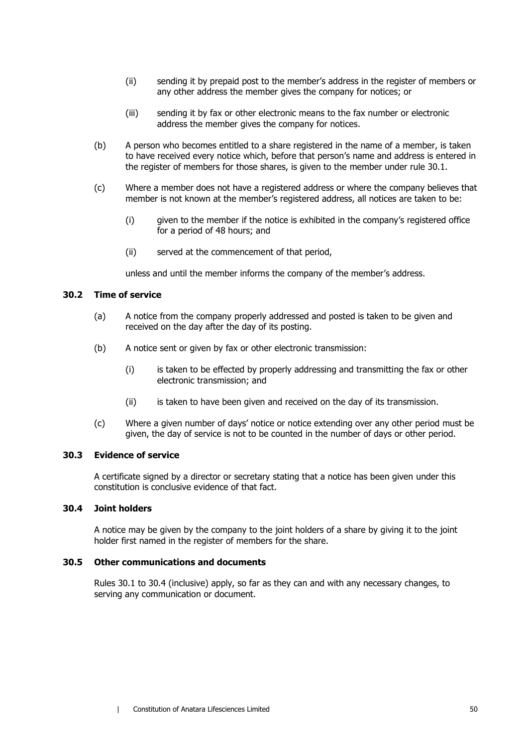- (ii) sending it by prepaid post to the member's address in the register of members or any other address the member gives the company for notices; or
- (iii) sending it by fax or other electronic means to the fax number or electronic address the member gives the company for notices.
- (b) A person who becomes entitled to a share registered in the name of a member, is taken to have received every notice which, before that person's name and address is entered in the register of members for those shares, is given to the member under rule [30.1.](#page-55-0)
- (c) Where a member does not have a registered address or where the company believes that member is not known at the member's registered address, all notices are taken to be:
	- (i) given to the member if the notice is exhibited in the company's registered office for a period of 48 hours; and
	- (ii) served at the commencement of that period,

unless and until the member informs the company of the member's address.

#### **30.2 Time of service**

- (a) A notice from the company properly addressed and posted is taken to be given and received on the day after the day of its posting.
- (b) A notice sent or given by fax or other electronic transmission:
	- (i) is taken to be effected by properly addressing and transmitting the fax or other electronic transmission; and
	- (ii) is taken to have been given and received on the day of its transmission.
- (c) Where a given number of days' notice or notice extending over any other period must be given, the day of service is not to be counted in the number of days or other period.

#### **30.3 Evidence of service**

A certificate signed by a director or secretary stating that a notice has been given under this constitution is conclusive evidence of that fact.

#### <span id="page-56-0"></span>**30.4 Joint holders**

A notice may be given by the company to the joint holders of a share by giving it to the joint holder first named in the register of members for the share.

#### **30.5 Other communications and documents**

Rules [30.1](#page-55-0) to [30.4](#page-56-0) (inclusive) apply, so far as they can and with any necessary changes, to serving any communication or document.